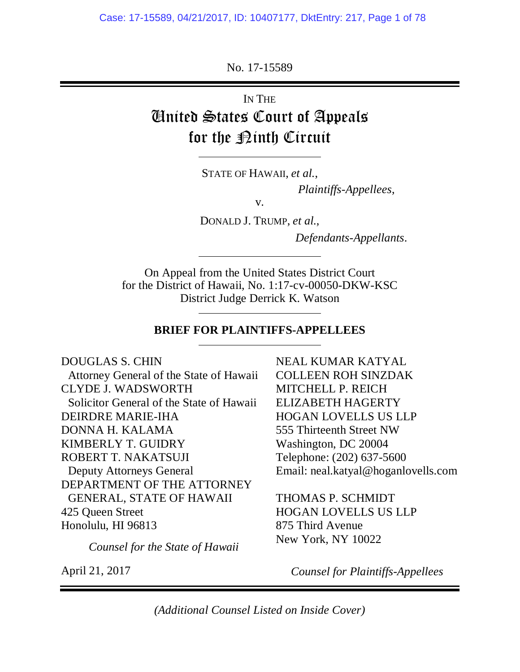No. 17-15589

IN THE United States Court of Appeals for the <u>Pinth</u> Circuit

STATE OF HAWAII, *et al.*,

l

 $\overline{a}$ 

l

l

*Plaintiffs-Appellees*,

v.

DONALD J. TRUMP, *et al.*,

*Defendants-Appellants*.

On Appeal from the United States District Court for the District of Hawaii, No. 1:17-cv-00050-DKW-KSC District Judge Derrick K. Watson

#### **BRIEF FOR PLAINTIFFS-APPELLEES**

DOUGLAS S. CHIN Attorney General of the State of Hawaii CLYDE J. WADSWORTH Solicitor General of the State of Hawaii DEIRDRE MARIE-IHA DONNA H. KALAMA KIMBERLY T. GUIDRY ROBERT T. NAKATSUJI Deputy Attorneys General DEPARTMENT OF THE ATTORNEY GENERAL, STATE OF HAWAII 425 Queen Street Honolulu, HI 96813

*Counsel for the State of Hawaii* 

April 21, 2017

NEAL KUMAR KATYAL COLLEEN ROH SINZDAK MITCHELL P. REICH ELIZABETH HAGERTY HOGAN LOVELLS US LLP 555 Thirteenth Street NW Washington, DC 20004 Telephone: (202) 637-5600 Email: neal.katyal@hoganlovells.com

THOMAS P. SCHMIDT HOGAN LOVELLS US LLP 875 Third Avenue New York, NY 10022

*Counsel for Plaintiffs-Appellees* 

*(Additional Counsel Listed on Inside Cover)*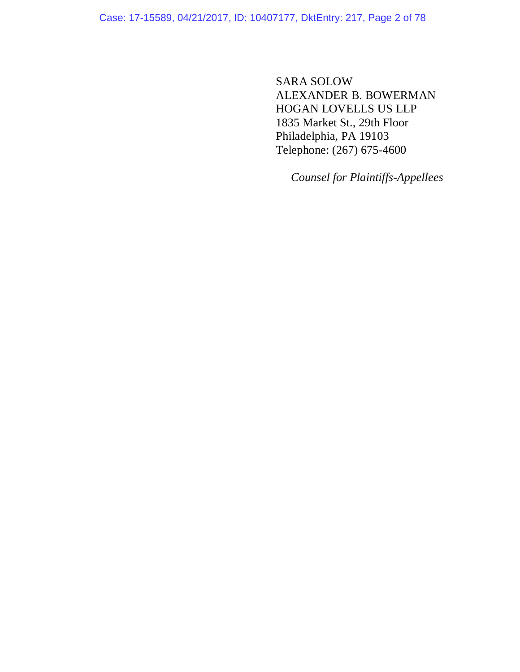Case: 17-15589, 04/21/2017, ID: 10407177, DktEntry: 217, Page 2 of 78

SARA SOLOW ALEXANDER B. BOWERMAN HOGAN LOVELLS US LLP 1835 Market St., 29th Floor Philadelphia, PA 19103 Telephone: (267) 675-4600

*Counsel for Plaintiffs-Appellees*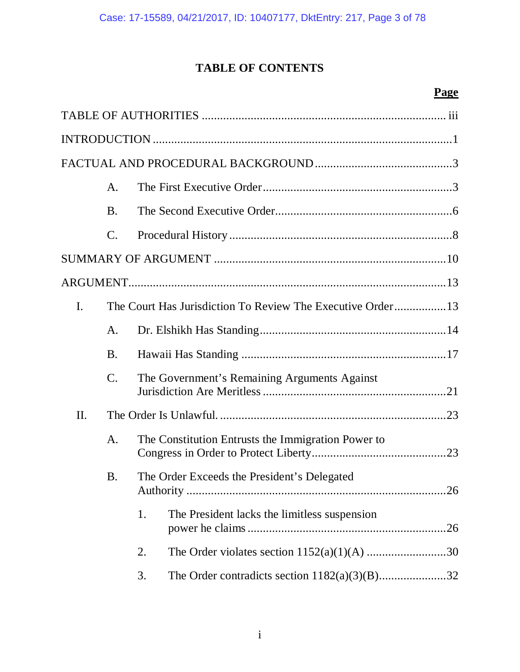# **TABLE OF CONTENTS**

# **Page**

|                | A.              |                                                        |  |  |
|----------------|-----------------|--------------------------------------------------------|--|--|
|                | <b>B.</b>       |                                                        |  |  |
|                | $\mathcal{C}$ . |                                                        |  |  |
|                |                 |                                                        |  |  |
|                |                 |                                                        |  |  |
| $\mathbf{I}$ . |                 |                                                        |  |  |
|                | A.              |                                                        |  |  |
|                | <b>B.</b>       |                                                        |  |  |
|                | $\mathcal{C}$ . | The Government's Remaining Arguments Against           |  |  |
| II.            |                 |                                                        |  |  |
|                | A.              | The Constitution Entrusts the Immigration Power to     |  |  |
|                | <b>B.</b>       | The Order Exceeds the President's Delegated<br>.26     |  |  |
|                |                 | The President lacks the limitless suspension<br>1.     |  |  |
|                |                 | 2.                                                     |  |  |
|                |                 | The Order contradicts section $1182(a)(3)(B)$ 32<br>3. |  |  |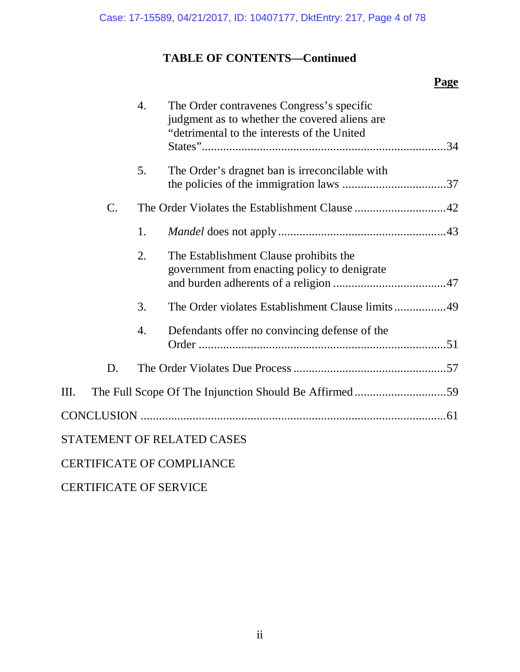## **TABLE OF CONTENTS—Continued**

### **Page**

|       | 4. | The Order contravenes Congress's specific<br>judgment as to whether the covered aliens are<br>"detrimental to the interests of the United |
|-------|----|-------------------------------------------------------------------------------------------------------------------------------------------|
|       | 5. | The Order's dragnet ban is irreconcilable with                                                                                            |
| $C$ . |    | The Order Violates the Establishment Clause 42                                                                                            |
|       | 1. |                                                                                                                                           |
|       | 2. | The Establishment Clause prohibits the<br>government from enacting policy to denigrate                                                    |
|       | 3. | The Order violates Establishment Clause limits49                                                                                          |
|       | 4. | Defendants offer no convincing defense of the                                                                                             |
| D.    |    |                                                                                                                                           |
| Ш.    |    |                                                                                                                                           |
|       |    |                                                                                                                                           |
|       |    | STATEMENT OF RELATED CASES                                                                                                                |
|       |    | <b>CERTIFICATE OF COMPLIANCE</b>                                                                                                          |

CERTIFICATE OF SERVICE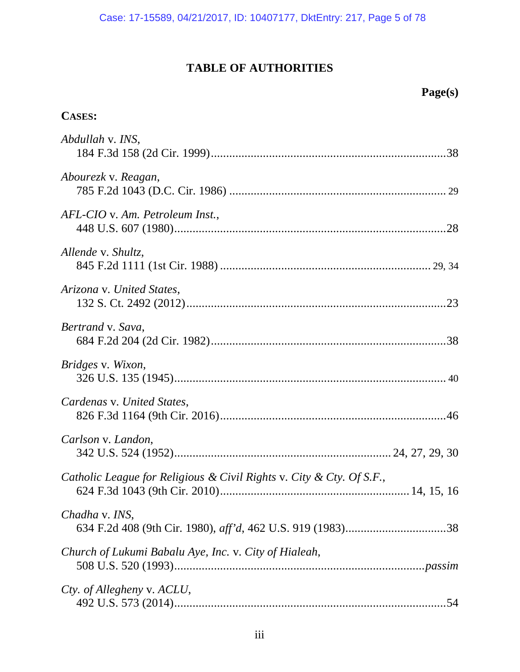### **TABLE OF AUTHORITIES**

### **CASES:**

| Abdullah v. INS,                                                     |
|----------------------------------------------------------------------|
| Abourezk v. Reagan,                                                  |
| AFL-CIO v. Am. Petroleum Inst.,                                      |
| Allende v. Shultz,                                                   |
| Arizona v. United States,                                            |
| Bertrand v. Sava,                                                    |
| Bridges v. Wixon,                                                    |
| Cardenas v. United States,                                           |
| Carlson v. Landon,                                                   |
| Catholic League for Religious & Civil Rights v. City & Cty. Of S.F., |
| Chadha v. INS,                                                       |
| Church of Lukumi Babalu Aye, Inc. v. City of Hialeah,                |
| Cty. of Allegheny v. ACLU,                                           |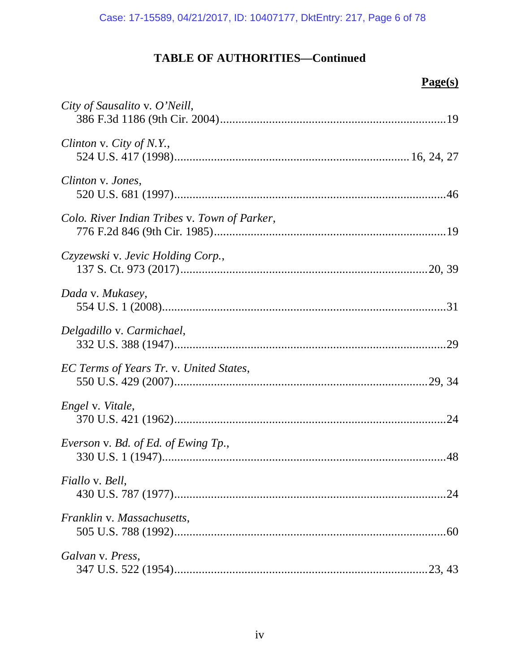| City of Sausalito v. O'Neill,                |
|----------------------------------------------|
| Clinton v. City of N.Y.,                     |
| Clinton v. Jones,                            |
| Colo. River Indian Tribes v. Town of Parker, |
| Czyzewski v. Jevic Holding Corp.,            |
| Dada v. Mukasey,                             |
| Delgadillo v. Carmichael,                    |
| EC Terms of Years Tr. v. United States,      |
| Engel v. Vitale,                             |
| Everson v. Bd. of Ed. of Ewing Tp.,          |
| <i>Fiallo v. Bell,</i>                       |
| Franklin v. Massachusetts,                   |
| Galvan v. Press,                             |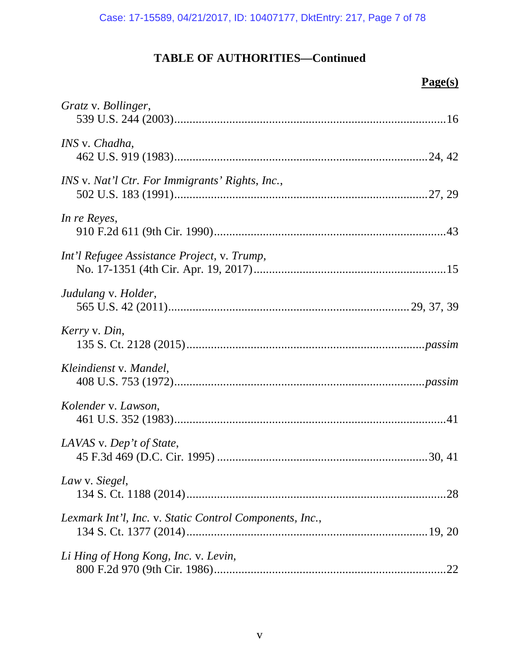| Gratz v. Bollinger,                                     |
|---------------------------------------------------------|
| INS v. Chadha,                                          |
| INS v. Nat'l Ctr. For Immigrants' Rights, Inc.,         |
| In re Reyes,                                            |
| Int'l Refugee Assistance Project, v. Trump,             |
| Judulang v. Holder,                                     |
| Kerry v. Din,                                           |
| Kleindienst v. Mandel,                                  |
| Kolender v. Lawson,                                     |
| LAVAS v. Dep't of State,                                |
| Law v. Siegel,                                          |
| Lexmark Int'l, Inc. v. Static Control Components, Inc., |
| Li Hing of Hong Kong, Inc. v. Levin,<br>.22             |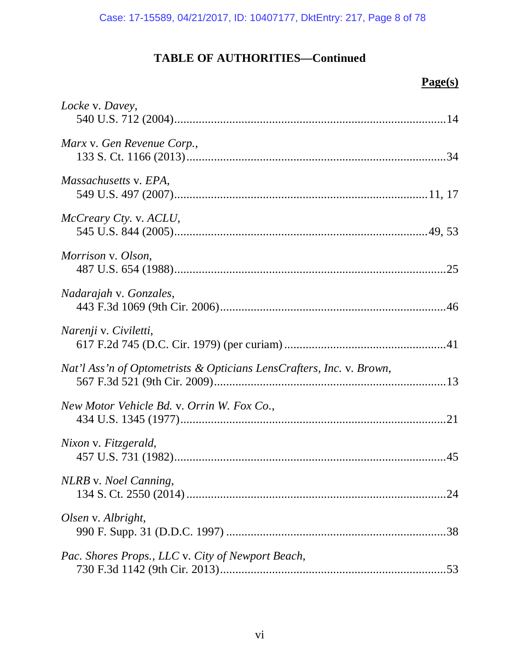| Locke v. Davey,                                                      |
|----------------------------------------------------------------------|
| Marx v. Gen Revenue Corp.,                                           |
| Massachusetts v. EPA,                                                |
| McCreary Cty. v. ACLU,                                               |
| Morrison v. Olson,                                                   |
| Nadarajah v. Gonzales,                                               |
| Narenji v. Civiletti,                                                |
| Nat'l Ass'n of Optometrists & Opticians LensCrafters, Inc. v. Brown, |
| New Motor Vehicle Bd. v. Orrin W. Fox Co.,                           |
| Nixon v. Fitzgerald,                                                 |
| NLRB v. Noel Canning,                                                |
| Olsen v. Albright,                                                   |
| Pac. Shores Props., LLC v. City of Newport Beach,                    |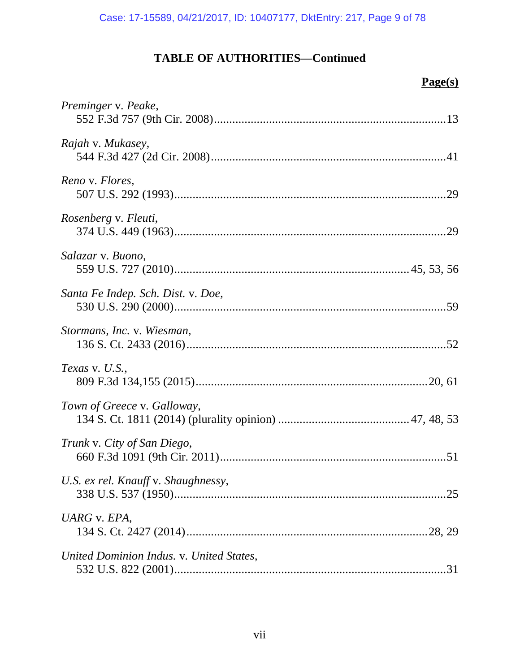| Preminger v. Peake,                      |
|------------------------------------------|
| Rajah v. Mukasey,                        |
| Reno v. Flores,                          |
| Rosenberg v. Fleuti,                     |
| Salazar v. Buono,                        |
| Santa Fe Indep. Sch. Dist. v. Doe,       |
| Stormans, Inc. v. Wiesman,               |
| Texas v. $U.S.,$                         |
| Town of Greece v. Galloway,              |
| Trunk v. City of San Diego,              |
| U.S. ex rel. Knauff v. Shaughnessy,      |
| UARG v. EPA,                             |
| United Dominion Indus. v. United States, |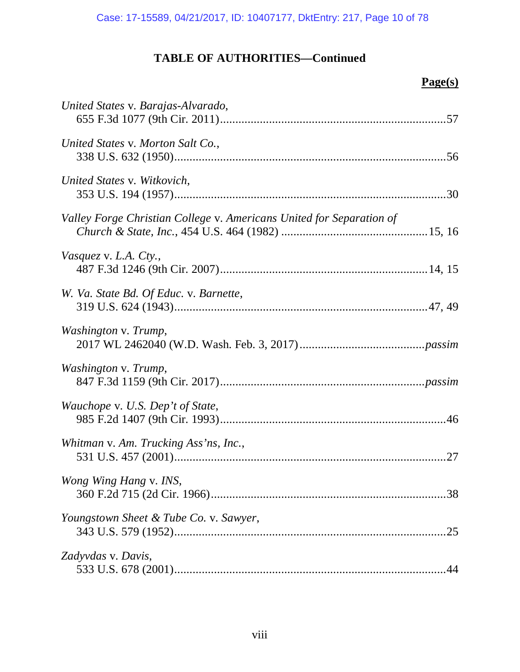| United States v. Barajas-Alvarado,                                   |
|----------------------------------------------------------------------|
| United States v. Morton Salt Co.,                                    |
| United States v. Witkovich,                                          |
| Valley Forge Christian College v. Americans United for Separation of |
| Vasquez v. L.A. Cty.,                                                |
| W. Va. State Bd. Of Educ. v. Barnette,                               |
| Washington v. Trump,                                                 |
| Washington v. Trump,                                                 |
| Wauchope v. U.S. Dep't of State,                                     |
| Whitman v. Am. Trucking Ass'ns, Inc.,                                |
| Wong Wing Hang v. INS,                                               |
| Youngstown Sheet & Tube Co. v. Sawyer,<br>.25                        |
| Zadyvdas v. Davis,                                                   |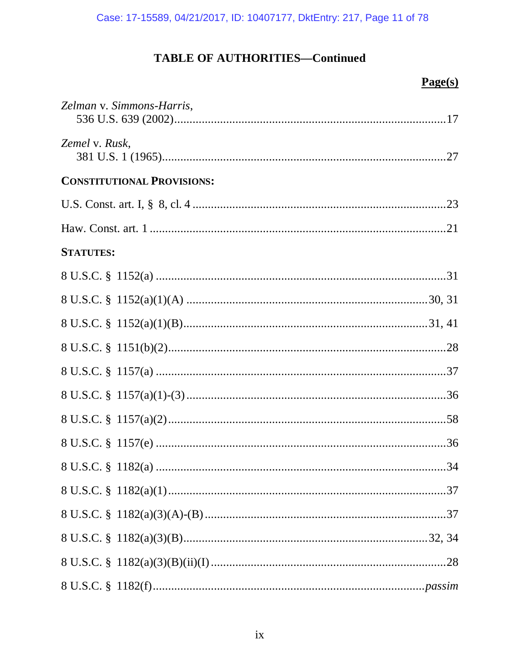| Zelman v. Simmons-Harris,         |
|-----------------------------------|
| Zemel v. Rusk,                    |
| <b>CONSTITUTIONAL PROVISIONS:</b> |
|                                   |
|                                   |
| <b>STATUTES:</b>                  |
|                                   |
|                                   |
|                                   |
|                                   |
|                                   |
|                                   |
|                                   |
|                                   |
|                                   |
|                                   |
|                                   |
|                                   |
|                                   |
|                                   |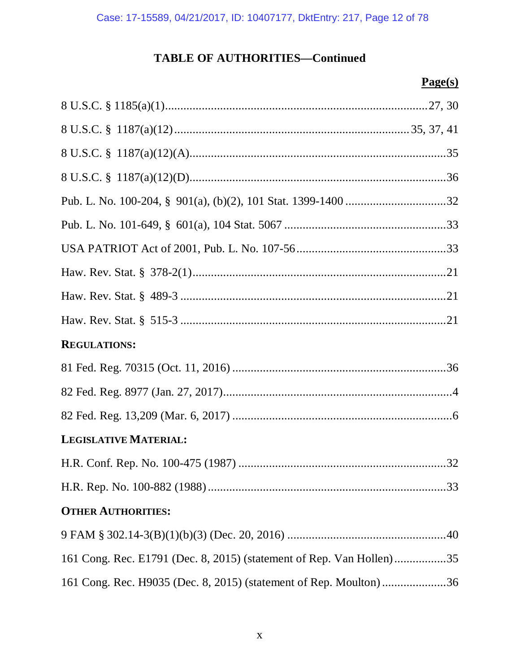| <b>REGULATIONS:</b>                                                  |
|----------------------------------------------------------------------|
|                                                                      |
|                                                                      |
|                                                                      |
| <b>LEGISLATIVE MATERIAL:</b>                                         |
|                                                                      |
|                                                                      |
| <b>OTHER AUTHORITIES:</b>                                            |
|                                                                      |
| 161 Cong. Rec. E1791 (Dec. 8, 2015) (statement of Rep. Van Hollen)35 |
| 161 Cong. Rec. H9035 (Dec. 8, 2015) (statement of Rep. Moulton)36    |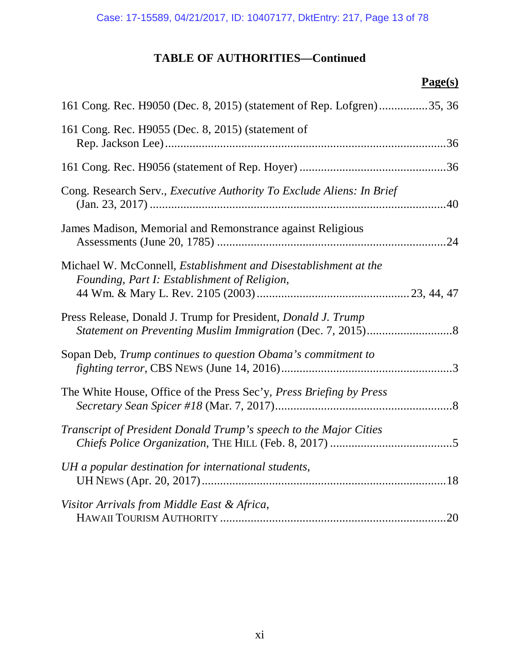| 161 Cong. Rec. H9050 (Dec. 8, 2015) (statement of Rep. Lofgren)35, 36                                                  |
|------------------------------------------------------------------------------------------------------------------------|
| 161 Cong. Rec. H9055 (Dec. 8, 2015) (statement of                                                                      |
|                                                                                                                        |
| Cong. Research Serv., <i>Executive Authority To Exclude Aliens: In Brief</i>                                           |
| James Madison, Memorial and Remonstrance against Religious                                                             |
| Michael W. McConnell, <i>Establishment and Disestablishment at the</i><br>Founding, Part I: Establishment of Religion, |
| Press Release, Donald J. Trump for President, <i>Donald J. Trump</i>                                                   |
| Sopan Deb, Trump continues to question Obama's commitment to                                                           |
| The White House, Office of the Press Sec'y, Press Briefing by Press                                                    |
| Transcript of President Donald Trump's speech to the Major Cities                                                      |
| UH a popular destination for international students,                                                                   |
| Visitor Arrivals from Middle East & Africa,                                                                            |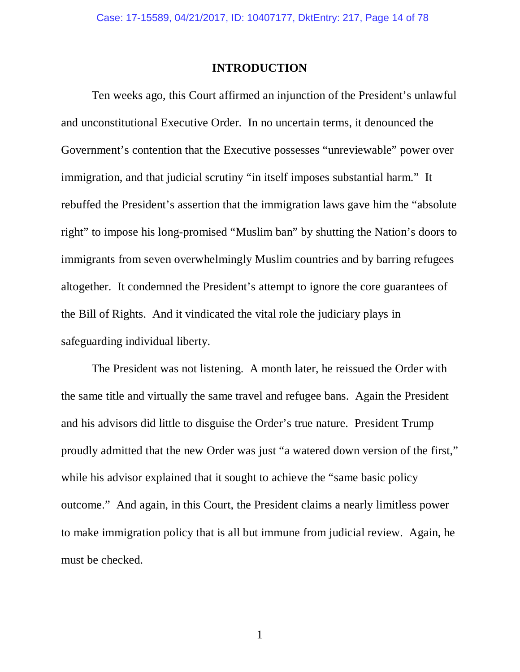### **INTRODUCTION**

Ten weeks ago, this Court affirmed an injunction of the President's unlawful and unconstitutional Executive Order. In no uncertain terms, it denounced the Government's contention that the Executive possesses "unreviewable" power over immigration, and that judicial scrutiny "in itself imposes substantial harm." It rebuffed the President's assertion that the immigration laws gave him the "absolute right" to impose his long-promised "Muslim ban" by shutting the Nation's doors to immigrants from seven overwhelmingly Muslim countries and by barring refugees altogether. It condemned the President's attempt to ignore the core guarantees of the Bill of Rights. And it vindicated the vital role the judiciary plays in safeguarding individual liberty.

The President was not listening. A month later, he reissued the Order with the same title and virtually the same travel and refugee bans. Again the President and his advisors did little to disguise the Order's true nature. President Trump proudly admitted that the new Order was just "a watered down version of the first," while his advisor explained that it sought to achieve the "same basic policy" outcome." And again, in this Court, the President claims a nearly limitless power to make immigration policy that is all but immune from judicial review. Again, he must be checked.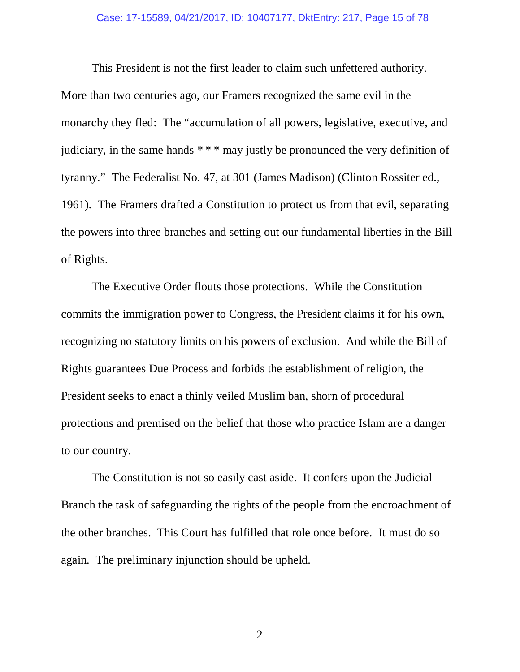This President is not the first leader to claim such unfettered authority. More than two centuries ago, our Framers recognized the same evil in the monarchy they fled: The "accumulation of all powers, legislative, executive, and judiciary, in the same hands \* \* \* may justly be pronounced the very definition of tyranny." The Federalist No. 47, at 301 (James Madison) (Clinton Rossiter ed., 1961). The Framers drafted a Constitution to protect us from that evil, separating the powers into three branches and setting out our fundamental liberties in the Bill of Rights.

The Executive Order flouts those protections. While the Constitution commits the immigration power to Congress, the President claims it for his own, recognizing no statutory limits on his powers of exclusion. And while the Bill of Rights guarantees Due Process and forbids the establishment of religion, the President seeks to enact a thinly veiled Muslim ban, shorn of procedural protections and premised on the belief that those who practice Islam are a danger to our country.

The Constitution is not so easily cast aside. It confers upon the Judicial Branch the task of safeguarding the rights of the people from the encroachment of the other branches. This Court has fulfilled that role once before. It must do so again. The preliminary injunction should be upheld.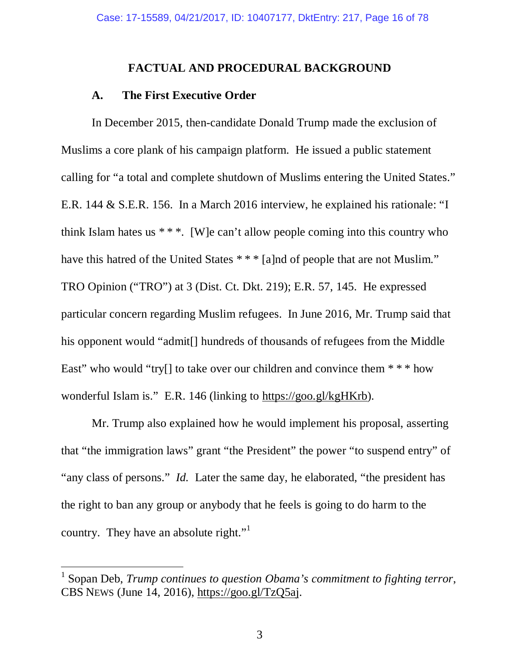### **FACTUAL AND PROCEDURAL BACKGROUND**

### **A. The First Executive Order**

 In December 2015, then-candidate Donald Trump made the exclusion of Muslims a core plank of his campaign platform. He issued a public statement calling for "a total and complete shutdown of Muslims entering the United States." E.R. 144 & S.E.R. 156. In a March 2016 interview, he explained his rationale: "I think Islam hates us  $***$ . [W]e can't allow people coming into this country who have this hatred of the United States \*\*\* [a]nd of people that are not Muslim." TRO Opinion ("TRO") at 3 (Dist. Ct. Dkt. 219); E.R. 57, 145. He expressed particular concern regarding Muslim refugees. In June 2016, Mr. Trump said that his opponent would "admit<sup>[]</sup> hundreds of thousands of refugees from the Middle East" who would "try[] to take over our children and convince them  $***$  how wonderful Islam is." E.R. 146 (linking to https://goo.gl/kgHKrb).

 Mr. Trump also explained how he would implement his proposal, asserting that "the immigration laws" grant "the President" the power "to suspend entry" of "any class of persons." *Id.* Later the same day, he elaborated, "the president has the right to ban any group or anybody that he feels is going to do harm to the country. They have an absolute right."

 $\overline{a}$ 

<sup>&</sup>lt;sup>1</sup> Sopan Deb, *Trump continues to question Obama's commitment to fighting terror,* CBS NEWS (June 14, 2016), https://goo.gl/TzQ5aj.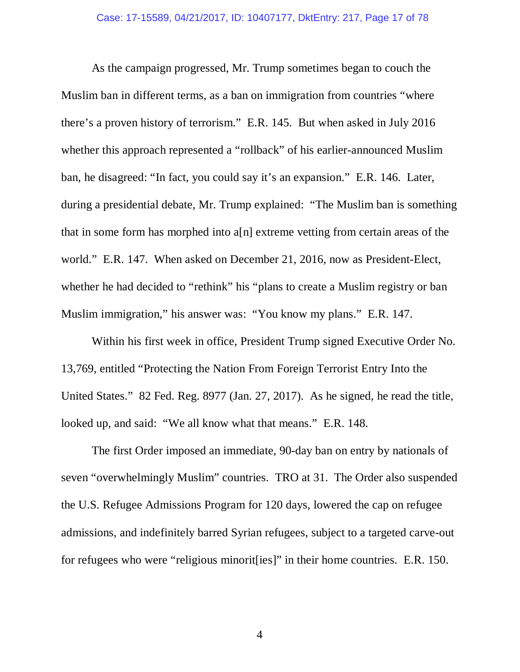As the campaign progressed, Mr. Trump sometimes began to couch the Muslim ban in different terms, as a ban on immigration from countries "where there's a proven history of terrorism." E.R. 145. But when asked in July 2016 whether this approach represented a "rollback" of his earlier-announced Muslim ban, he disagreed: "In fact, you could say it's an expansion." E.R. 146. Later, during a presidential debate, Mr. Trump explained: "The Muslim ban is something that in some form has morphed into a[n] extreme vetting from certain areas of the world." E.R. 147. When asked on December 21, 2016, now as President-Elect, whether he had decided to "rethink" his "plans to create a Muslim registry or ban Muslim immigration," his answer was: "You know my plans." E.R. 147.

 Within his first week in office, President Trump signed Executive Order No. 13,769, entitled "Protecting the Nation From Foreign Terrorist Entry Into the United States." 82 Fed. Reg. 8977 (Jan. 27, 2017). As he signed, he read the title, looked up, and said: "We all know what that means." E.R. 148.

 The first Order imposed an immediate, 90-day ban on entry by nationals of seven "overwhelmingly Muslim" countries. TRO at 31. The Order also suspended the U.S. Refugee Admissions Program for 120 days, lowered the cap on refugee admissions, and indefinitely barred Syrian refugees, subject to a targeted carve-out for refugees who were "religious minorit[ies]" in their home countries. E.R. 150.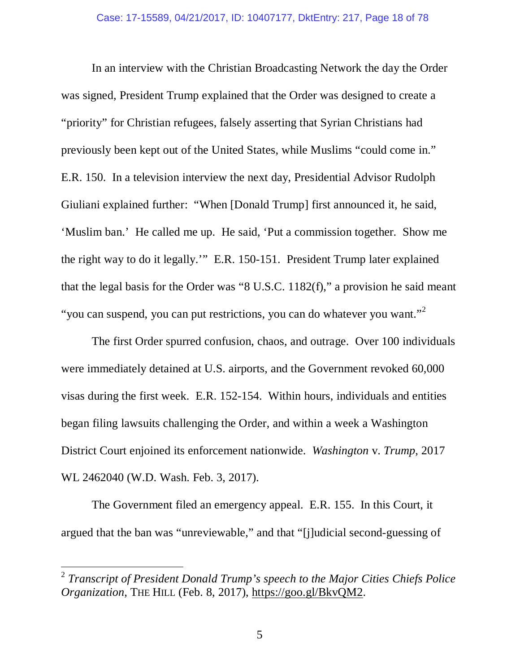In an interview with the Christian Broadcasting Network the day the Order was signed, President Trump explained that the Order was designed to create a "priority" for Christian refugees, falsely asserting that Syrian Christians had previously been kept out of the United States, while Muslims "could come in." E.R. 150. In a television interview the next day, Presidential Advisor Rudolph Giuliani explained further: "When [Donald Trump] first announced it, he said, 'Muslim ban.' He called me up. He said, 'Put a commission together. Show me the right way to do it legally.'" E.R. 150-151. President Trump later explained that the legal basis for the Order was "8 U.S.C. 1182(f)," a provision he said meant "you can suspend, you can put restrictions, you can do whatever you want."<sup>2</sup>

 The first Order spurred confusion, chaos, and outrage. Over 100 individuals were immediately detained at U.S. airports, and the Government revoked 60,000 visas during the first week. E.R. 152-154. Within hours, individuals and entities began filing lawsuits challenging the Order, and within a week a Washington District Court enjoined its enforcement nationwide. *Washington* v. *Trump*, 2017 WL 2462040 (W.D. Wash. Feb. 3, 2017).

 The Government filed an emergency appeal. E.R. 155. In this Court, it argued that the ban was "unreviewable," and that "[j]udicial second-guessing of

 $\overline{a}$ 

<sup>2</sup> *Transcript of President Donald Trump's speech to the Major Cities Chiefs Police Organization*, THE HILL (Feb. 8, 2017), https://goo.gl/BkvQM2.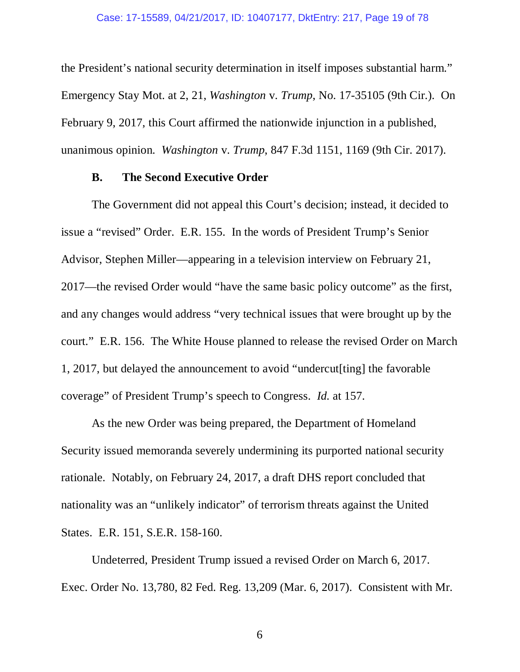the President's national security determination in itself imposes substantial harm." Emergency Stay Mot. at 2, 21, *Washington* v. *Trump*, No. 17-35105 (9th Cir.). On February 9, 2017, this Court affirmed the nationwide injunction in a published, unanimous opinion. *Washington* v. *Trump*, 847 F.3d 1151, 1169 (9th Cir. 2017).

#### **B. The Second Executive Order**

 The Government did not appeal this Court's decision; instead, it decided to issue a "revised" Order. E.R. 155. In the words of President Trump's Senior Advisor, Stephen Miller—appearing in a television interview on February 21, 2017—the revised Order would "have the same basic policy outcome" as the first, and any changes would address "very technical issues that were brought up by the court." E.R. 156. The White House planned to release the revised Order on March 1, 2017, but delayed the announcement to avoid "undercut[ting] the favorable coverage" of President Trump's speech to Congress. *Id.* at 157.

As the new Order was being prepared, the Department of Homeland Security issued memoranda severely undermining its purported national security rationale. Notably, on February 24, 2017, a draft DHS report concluded that nationality was an "unlikely indicator" of terrorism threats against the United States. E.R. 151, S.E.R. 158-160.

Undeterred, President Trump issued a revised Order on March 6, 2017. Exec. Order No. 13,780, 82 Fed. Reg. 13,209 (Mar. 6, 2017). Consistent with Mr.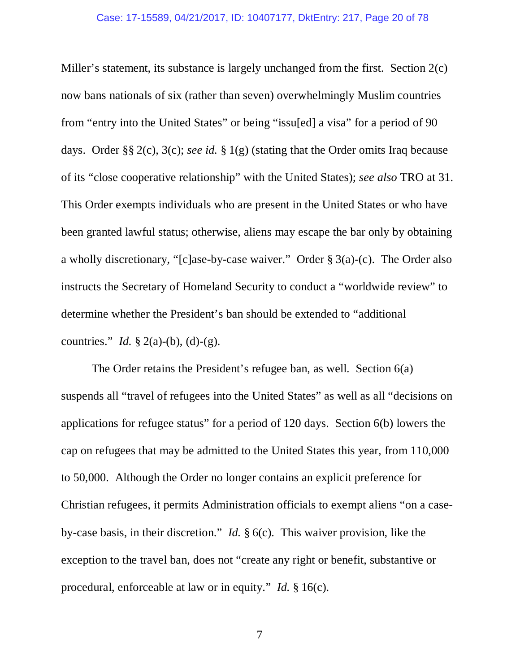Miller's statement, its substance is largely unchanged from the first. Section 2(c) now bans nationals of six (rather than seven) overwhelmingly Muslim countries from "entry into the United States" or being "issu[ed] a visa" for a period of 90 days. Order §§ 2(c), 3(c); *see id.* § 1(g) (stating that the Order omits Iraq because of its "close cooperative relationship" with the United States); *see also* TRO at 31. This Order exempts individuals who are present in the United States or who have been granted lawful status; otherwise, aliens may escape the bar only by obtaining a wholly discretionary, "[c]ase-by-case waiver." Order § 3(a)-(c). The Order also instructs the Secretary of Homeland Security to conduct a "worldwide review" to determine whether the President's ban should be extended to "additional countries." *Id.* § 2(a)-(b), (d)-(g).

 The Order retains the President's refugee ban, as well. Section 6(a) suspends all "travel of refugees into the United States" as well as all "decisions on applications for refugee status" for a period of 120 days. Section 6(b) lowers the cap on refugees that may be admitted to the United States this year, from 110,000 to 50,000. Although the Order no longer contains an explicit preference for Christian refugees, it permits Administration officials to exempt aliens "on a caseby-case basis, in their discretion." *Id.* § 6(c). This waiver provision, like the exception to the travel ban, does not "create any right or benefit, substantive or procedural, enforceable at law or in equity." *Id.* § 16(c).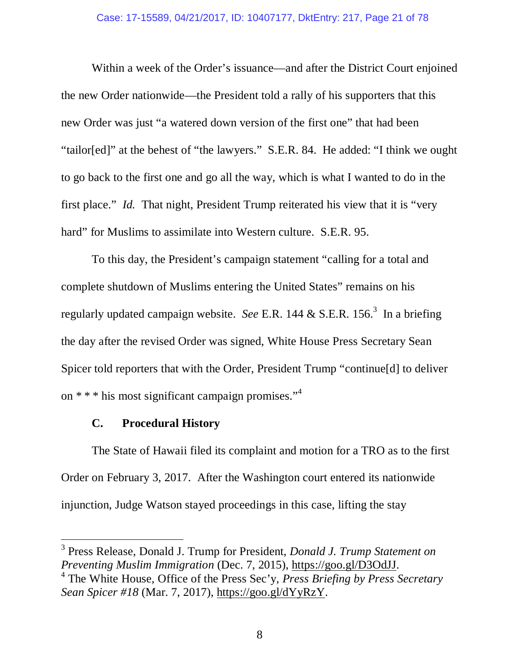Within a week of the Order's issuance—and after the District Court enjoined the new Order nationwide—the President told a rally of his supporters that this new Order was just "a watered down version of the first one" that had been "tailor[ed]" at the behest of "the lawyers." S.E.R. 84. He added: "I think we ought to go back to the first one and go all the way, which is what I wanted to do in the first place." *Id.* That night, President Trump reiterated his view that it is "very hard" for Muslims to assimilate into Western culture. S.E.R. 95.

 To this day, the President's campaign statement "calling for a total and complete shutdown of Muslims entering the United States" remains on his regularly updated campaign website. See E.R. 144 & S.E.R. 156.<sup>3</sup> In a briefing the day after the revised Order was signed, White House Press Secretary Sean Spicer told reporters that with the Order, President Trump "continue[d] to deliver on \* \* \* his most significant campaign promises."<sup>4</sup>

### **C. Procedural History**

 $\overline{a}$ 

 The State of Hawaii filed its complaint and motion for a TRO as to the first Order on February 3, 2017. After the Washington court entered its nationwide injunction, Judge Watson stayed proceedings in this case, lifting the stay

<sup>3</sup> Press Release, Donald J. Trump for President, *Donald J. Trump Statement on Preventing Muslim Immigration* (Dec. 7, 2015), https://goo.gl/D3OdJJ.

<sup>4</sup> The White House, Office of the Press Sec'y, *Press Briefing by Press Secretary Sean Spicer #18* (Mar. 7, 2017), https://goo.gl/dYyRzY.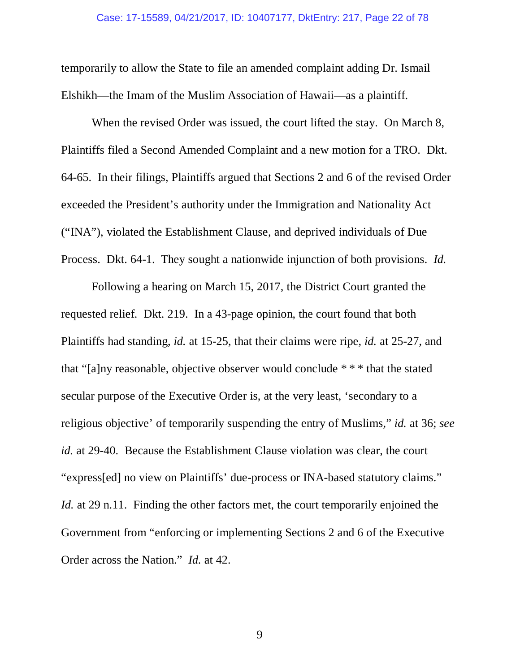temporarily to allow the State to file an amended complaint adding Dr. Ismail Elshikh—the Imam of the Muslim Association of Hawaii—as a plaintiff.

 When the revised Order was issued, the court lifted the stay. On March 8, Plaintiffs filed a Second Amended Complaint and a new motion for a TRO. Dkt. 64-65. In their filings, Plaintiffs argued that Sections 2 and 6 of the revised Order exceeded the President's authority under the Immigration and Nationality Act ("INA"), violated the Establishment Clause, and deprived individuals of Due Process. Dkt. 64-1. They sought a nationwide injunction of both provisions. *Id.*

 Following a hearing on March 15, 2017, the District Court granted the requested relief. Dkt. 219. In a 43-page opinion, the court found that both Plaintiffs had standing, *id.* at 15-25, that their claims were ripe, *id.* at 25-27, and that "[a]ny reasonable, objective observer would conclude \* \* \* that the stated secular purpose of the Executive Order is, at the very least, 'secondary to a religious objective' of temporarily suspending the entry of Muslims," *id.* at 36; *see id.* at 29-40. Because the Establishment Clause violation was clear, the court "express[ed] no view on Plaintiffs' due-process or INA-based statutory claims." *Id.* at 29 n.11. Finding the other factors met, the court temporarily enjoined the Government from "enforcing or implementing Sections 2 and 6 of the Executive Order across the Nation." *Id.* at 42.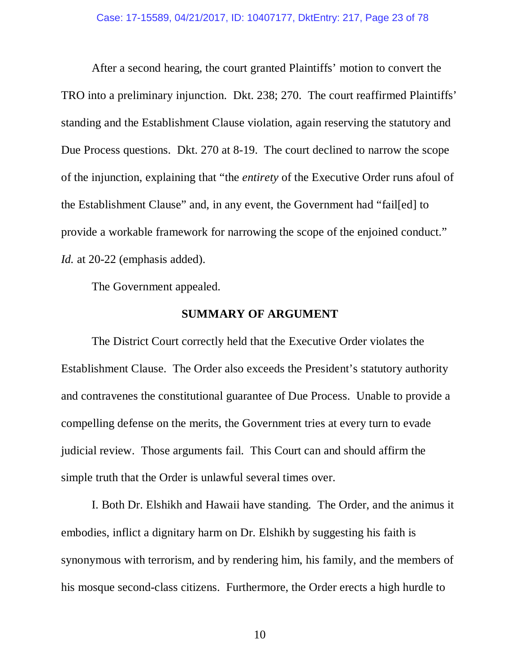After a second hearing, the court granted Plaintiffs' motion to convert the TRO into a preliminary injunction. Dkt. 238; 270. The court reaffirmed Plaintiffs' standing and the Establishment Clause violation, again reserving the statutory and Due Process questions. Dkt. 270 at 8-19. The court declined to narrow the scope of the injunction, explaining that "the *entirety* of the Executive Order runs afoul of the Establishment Clause" and, in any event, the Government had "fail[ed] to provide a workable framework for narrowing the scope of the enjoined conduct." *Id.* at 20-22 (emphasis added).

The Government appealed.

### **SUMMARY OF ARGUMENT**

The District Court correctly held that the Executive Order violates the Establishment Clause. The Order also exceeds the President's statutory authority and contravenes the constitutional guarantee of Due Process. Unable to provide a compelling defense on the merits, the Government tries at every turn to evade judicial review. Those arguments fail. This Court can and should affirm the simple truth that the Order is unlawful several times over.

I. Both Dr. Elshikh and Hawaii have standing. The Order, and the animus it embodies, inflict a dignitary harm on Dr. Elshikh by suggesting his faith is synonymous with terrorism, and by rendering him, his family, and the members of his mosque second-class citizens. Furthermore, the Order erects a high hurdle to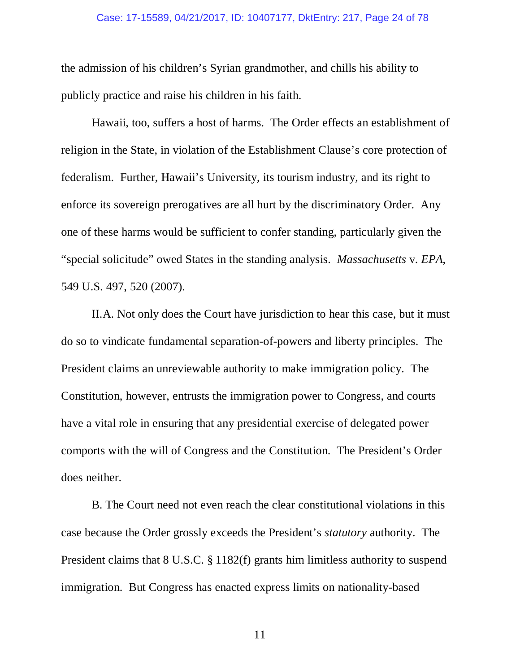#### Case: 17-15589, 04/21/2017, ID: 10407177, DktEntry: 217, Page 24 of 78

the admission of his children's Syrian grandmother, and chills his ability to publicly practice and raise his children in his faith.

Hawaii, too, suffers a host of harms. The Order effects an establishment of religion in the State, in violation of the Establishment Clause's core protection of federalism. Further, Hawaii's University, its tourism industry, and its right to enforce its sovereign prerogatives are all hurt by the discriminatory Order. Any one of these harms would be sufficient to confer standing, particularly given the "special solicitude" owed States in the standing analysis. *Massachusetts* v. *EPA*, 549 U.S. 497, 520 (2007).

II.A. Not only does the Court have jurisdiction to hear this case, but it must do so to vindicate fundamental separation-of-powers and liberty principles. The President claims an unreviewable authority to make immigration policy. The Constitution, however, entrusts the immigration power to Congress, and courts have a vital role in ensuring that any presidential exercise of delegated power comports with the will of Congress and the Constitution. The President's Order does neither.

B. The Court need not even reach the clear constitutional violations in this case because the Order grossly exceeds the President's *statutory* authority. The President claims that 8 U.S.C. § 1182(f) grants him limitless authority to suspend immigration. But Congress has enacted express limits on nationality-based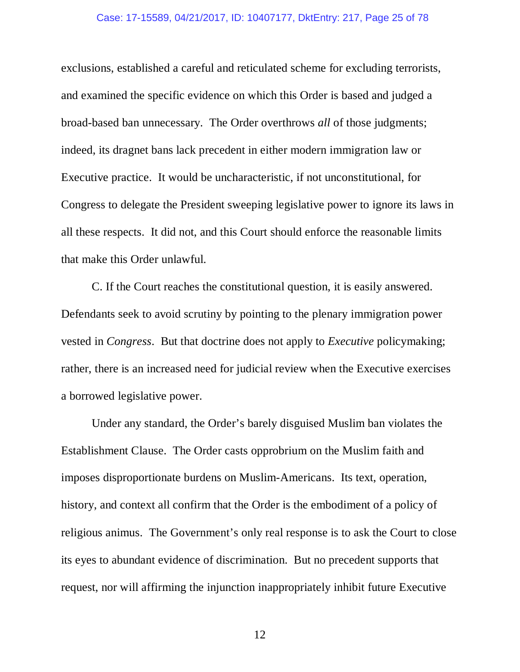#### Case: 17-15589, 04/21/2017, ID: 10407177, DktEntry: 217, Page 25 of 78

exclusions, established a careful and reticulated scheme for excluding terrorists, and examined the specific evidence on which this Order is based and judged a broad-based ban unnecessary. The Order overthrows *all* of those judgments; indeed, its dragnet bans lack precedent in either modern immigration law or Executive practice. It would be uncharacteristic, if not unconstitutional, for Congress to delegate the President sweeping legislative power to ignore its laws in all these respects. It did not, and this Court should enforce the reasonable limits that make this Order unlawful.

C. If the Court reaches the constitutional question, it is easily answered. Defendants seek to avoid scrutiny by pointing to the plenary immigration power vested in *Congress*. But that doctrine does not apply to *Executive* policymaking; rather, there is an increased need for judicial review when the Executive exercises a borrowed legislative power.

Under any standard, the Order's barely disguised Muslim ban violates the Establishment Clause. The Order casts opprobrium on the Muslim faith and imposes disproportionate burdens on Muslim-Americans. Its text, operation, history, and context all confirm that the Order is the embodiment of a policy of religious animus. The Government's only real response is to ask the Court to close its eyes to abundant evidence of discrimination. But no precedent supports that request, nor will affirming the injunction inappropriately inhibit future Executive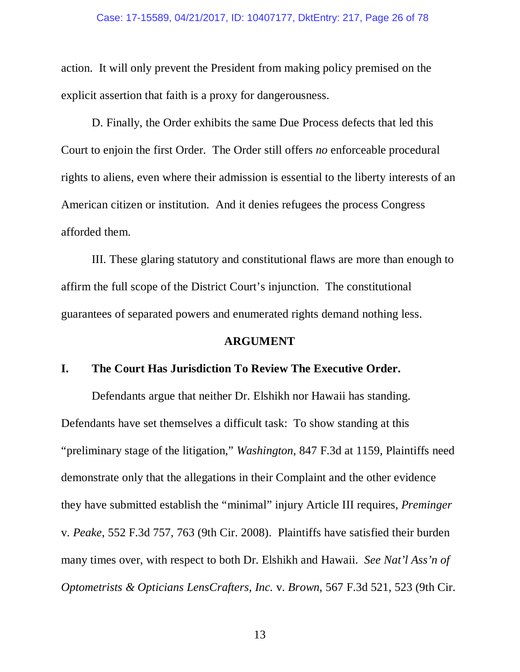#### Case: 17-15589, 04/21/2017, ID: 10407177, DktEntry: 217, Page 26 of 78

action. It will only prevent the President from making policy premised on the explicit assertion that faith is a proxy for dangerousness.

D. Finally, the Order exhibits the same Due Process defects that led this Court to enjoin the first Order. The Order still offers *no* enforceable procedural rights to aliens, even where their admission is essential to the liberty interests of an American citizen or institution. And it denies refugees the process Congress afforded them.

III. These glaring statutory and constitutional flaws are more than enough to affirm the full scope of the District Court's injunction. The constitutional guarantees of separated powers and enumerated rights demand nothing less.

#### **ARGUMENT**

#### **I. The Court Has Jurisdiction To Review The Executive Order.**

Defendants argue that neither Dr. Elshikh nor Hawaii has standing. Defendants have set themselves a difficult task: To show standing at this "preliminary stage of the litigation," *Washington*, 847 F.3d at 1159, Plaintiffs need demonstrate only that the allegations in their Complaint and the other evidence they have submitted establish the "minimal" injury Article III requires, *Preminger*  v. *Peake*, 552 F.3d 757, 763 (9th Cir. 2008). Plaintiffs have satisfied their burden many times over, with respect to both Dr. Elshikh and Hawaii. *See Nat'l Ass'n of Optometrists & Opticians LensCrafters, Inc.* v. *Brown*, 567 F.3d 521, 523 (9th Cir.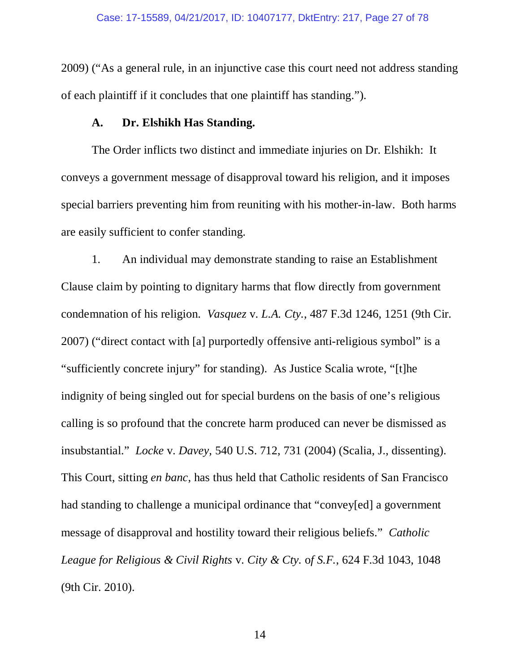2009) ("As a general rule, in an injunctive case this court need not address standing of each plaintiff if it concludes that one plaintiff has standing.").

### **A. Dr. Elshikh Has Standing.**

 The Order inflicts two distinct and immediate injuries on Dr. Elshikh: It conveys a government message of disapproval toward his religion, and it imposes special barriers preventing him from reuniting with his mother-in-law. Both harms are easily sufficient to confer standing.

1. An individual may demonstrate standing to raise an Establishment Clause claim by pointing to dignitary harms that flow directly from government condemnation of his religion. *Vasquez* v. *L.A. Cty.*, 487 F.3d 1246, 1251 (9th Cir. 2007) ("direct contact with [a] purportedly offensive anti-religious symbol" is a "sufficiently concrete injury" for standing). As Justice Scalia wrote, "[t]he indignity of being singled out for special burdens on the basis of one's religious calling is so profound that the concrete harm produced can never be dismissed as insubstantial." *Locke* v. *Davey*, 540 U.S. 712, 731 (2004) (Scalia, J., dissenting). This Court, sitting *en banc*, has thus held that Catholic residents of San Francisco had standing to challenge a municipal ordinance that "convey[ed] a government message of disapproval and hostility toward their religious beliefs." *Catholic League for Religious & Civil Rights* v. *City & Cty.* o*f S.F.*, 624 F.3d 1043, 1048 (9th Cir. 2010).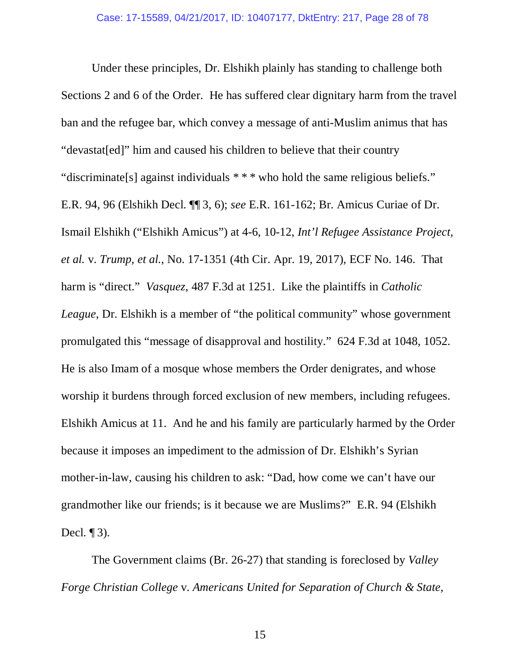Under these principles, Dr. Elshikh plainly has standing to challenge both Sections 2 and 6 of the Order. He has suffered clear dignitary harm from the travel ban and the refugee bar, which convey a message of anti-Muslim animus that has "devastat[ed]" him and caused his children to believe that their country "discriminate[s] against individuals \* \* \* who hold the same religious beliefs." E.R. 94, 96 (Elshikh Decl. ¶¶ 3, 6); *see* E.R. 161-162; Br. Amicus Curiae of Dr. Ismail Elshikh ("Elshikh Amicus") at 4-6, 10-12, *Int'l Refugee Assistance Project, et al.* v. *Trump, et al.*, No. 17-1351 (4th Cir. Apr. 19, 2017), ECF No. 146. That harm is "direct." *Vasquez*, 487 F.3d at 1251. Like the plaintiffs in *Catholic League*, Dr. Elshikh is a member of "the political community" whose government promulgated this "message of disapproval and hostility." 624 F.3d at 1048, 1052. He is also Imam of a mosque whose members the Order denigrates, and whose worship it burdens through forced exclusion of new members, including refugees. Elshikh Amicus at 11. And he and his family are particularly harmed by the Order because it imposes an impediment to the admission of Dr. Elshikh's Syrian mother-in-law, causing his children to ask: "Dad, how come we can't have our grandmother like our friends; is it because we are Muslims?" E.R. 94 (Elshikh Decl.  $\P$ 3).

The Government claims (Br. 26-27) that standing is foreclosed by *Valley Forge Christian College* v. *Americans United for Separation of Church & State,*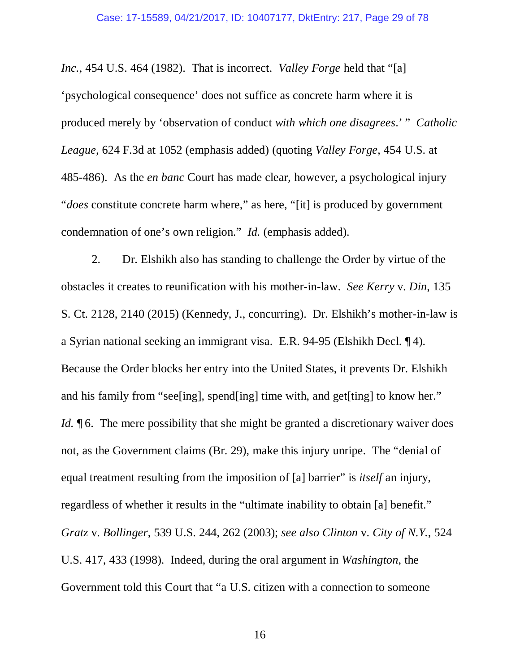*Inc.*, 454 U.S. 464 (1982). That is incorrect. *Valley Forge* held that "[a] 'psychological consequence' does not suffice as concrete harm where it is produced merely by 'observation of conduct *with which one disagrees*.' " *Catholic League*, 624 F.3d at 1052 (emphasis added) (quoting *Valley Forge*, 454 U.S. at 485-486). As the *en banc* Court has made clear, however, a psychological injury "*does* constitute concrete harm where," as here, "[it] is produced by government condemnation of one's own religion." *Id.* (emphasis added).

 2. Dr. Elshikh also has standing to challenge the Order by virtue of the obstacles it creates to reunification with his mother-in-law. *See Kerry* v. *Din*, 135 S. Ct. 2128, 2140 (2015) (Kennedy, J., concurring). Dr. Elshikh's mother-in-law is a Syrian national seeking an immigrant visa. E.R. 94-95 (Elshikh Decl. ¶ 4). Because the Order blocks her entry into the United States, it prevents Dr. Elshikh and his family from "see[ing], spend[ing] time with, and get[ting] to know her." *Id.* **[6.** The mere possibility that she might be granted a discretionary waiver does not, as the Government claims (Br. 29), make this injury unripe. The "denial of equal treatment resulting from the imposition of [a] barrier" is *itself* an injury, regardless of whether it results in the "ultimate inability to obtain [a] benefit." *Gratz* v. *Bollinger*, 539 U.S. 244, 262 (2003); *see also Clinton* v. *City of N.Y.*, 524 U.S. 417, 433 (1998). Indeed, during the oral argument in *Washington*, the Government told this Court that "a U.S. citizen with a connection to someone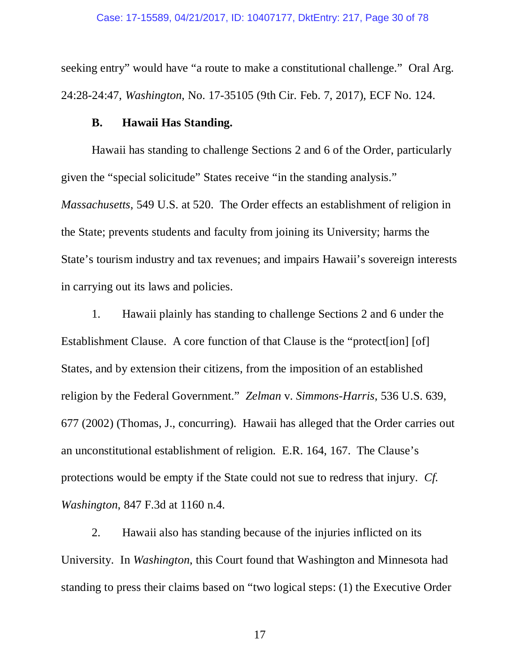seeking entry" would have "a route to make a constitutional challenge." Oral Arg. 24:28-24:47, *Washington*, No. 17-35105 (9th Cir. Feb. 7, 2017), ECF No. 124.

### **B. Hawaii Has Standing.**

Hawaii has standing to challenge Sections 2 and 6 of the Order, particularly given the "special solicitude" States receive "in the standing analysis." *Massachusetts*, 549 U.S. at 520. The Order effects an establishment of religion in the State; prevents students and faculty from joining its University; harms the State's tourism industry and tax revenues; and impairs Hawaii's sovereign interests in carrying out its laws and policies.

1. Hawaii plainly has standing to challenge Sections 2 and 6 under the Establishment Clause. A core function of that Clause is the "protect [ion] [of] States, and by extension their citizens, from the imposition of an established religion by the Federal Government." *Zelman* v. *Simmons-Harris*, 536 U.S. 639, 677 (2002) (Thomas, J., concurring). Hawaii has alleged that the Order carries out an unconstitutional establishment of religion. E.R. 164, 167. The Clause's protections would be empty if the State could not sue to redress that injury. *Cf. Washington*, 847 F.3d at 1160 n.4.

2. Hawaii also has standing because of the injuries inflicted on its University. In *Washington*, this Court found that Washington and Minnesota had standing to press their claims based on "two logical steps: (1) the Executive Order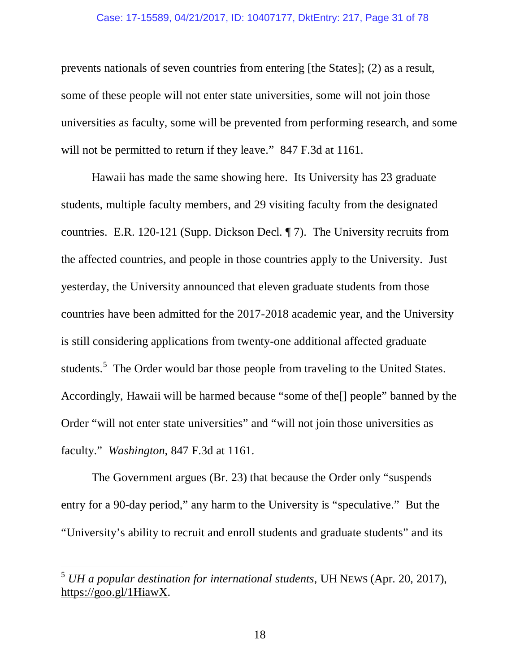#### Case: 17-15589, 04/21/2017, ID: 10407177, DktEntry: 217, Page 31 of 78

prevents nationals of seven countries from entering [the States]; (2) as a result, some of these people will not enter state universities, some will not join those universities as faculty, some will be prevented from performing research, and some will not be permitted to return if they leave." 847 F.3d at 1161.

Hawaii has made the same showing here. Its University has 23 graduate students, multiple faculty members, and 29 visiting faculty from the designated countries. E.R. 120-121 (Supp. Dickson Decl. ¶ 7). The University recruits from the affected countries, and people in those countries apply to the University. Just yesterday, the University announced that eleven graduate students from those countries have been admitted for the 2017-2018 academic year, and the University is still considering applications from twenty-one additional affected graduate students.<sup>5</sup> The Order would bar those people from traveling to the United States. Accordingly, Hawaii will be harmed because "some of the[] people" banned by the Order "will not enter state universities" and "will not join those universities as faculty." *Washington*, 847 F.3d at 1161.

The Government argues (Br. 23) that because the Order only "suspends entry for a 90-day period," any harm to the University is "speculative." But the "University's ability to recruit and enroll students and graduate students" and its

 $\overline{a}$ 

<sup>5</sup> *UH a popular destination for international students*, UH NEWS (Apr. 20, 2017), https://goo.gl/1HiawX.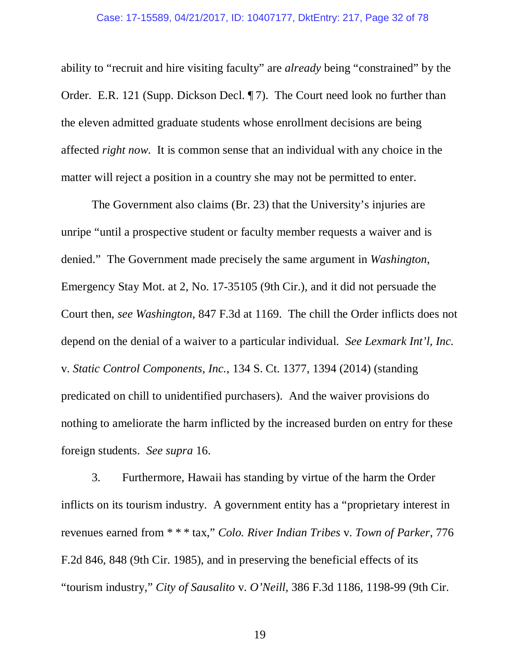ability to "recruit and hire visiting faculty" are *already* being "constrained" by the Order. E.R. 121 (Supp. Dickson Decl. ¶ 7). The Court need look no further than the eleven admitted graduate students whose enrollment decisions are being affected *right now*. It is common sense that an individual with any choice in the matter will reject a position in a country she may not be permitted to enter.

The Government also claims (Br. 23) that the University's injuries are unripe "until a prospective student or faculty member requests a waiver and is denied." The Government made precisely the same argument in *Washington*, Emergency Stay Mot. at 2, No. 17-35105 (9th Cir.), and it did not persuade the Court then, *see Washington*, 847 F.3d at 1169. The chill the Order inflicts does not depend on the denial of a waiver to a particular individual. *See Lexmark Int'l, Inc.*  v. *Static Control Components, Inc.*, 134 S. Ct. 1377, 1394 (2014) (standing predicated on chill to unidentified purchasers). And the waiver provisions do nothing to ameliorate the harm inflicted by the increased burden on entry for these foreign students. *See supra* 16.

 3. Furthermore, Hawaii has standing by virtue of the harm the Order inflicts on its tourism industry. A government entity has a "proprietary interest in revenues earned from \* \* \* tax," *Colo. River Indian Tribes* v. *Town of Parker*, 776 F.2d 846, 848 (9th Cir. 1985), and in preserving the beneficial effects of its "tourism industry," *City of Sausalito* v. *O'Neill*, 386 F.3d 1186, 1198-99 (9th Cir.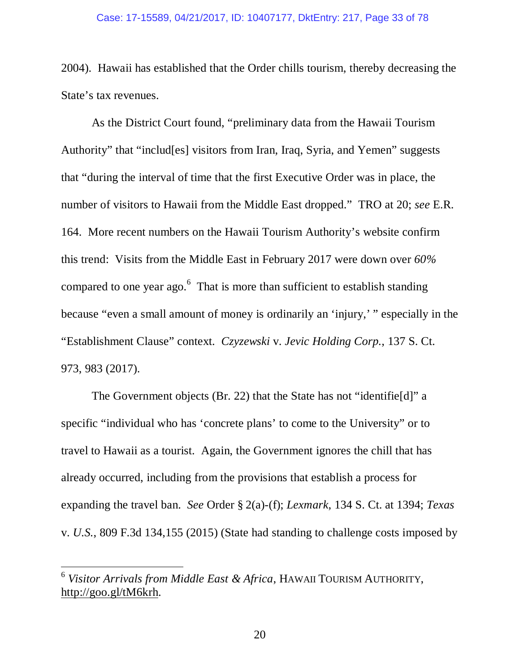#### Case: 17-15589, 04/21/2017, ID: 10407177, DktEntry: 217, Page 33 of 78

2004). Hawaii has established that the Order chills tourism, thereby decreasing the State's tax revenues.

As the District Court found, "preliminary data from the Hawaii Tourism Authority" that "includ[es] visitors from Iran, Iraq, Syria, and Yemen" suggests that "during the interval of time that the first Executive Order was in place, the number of visitors to Hawaii from the Middle East dropped." TRO at 20; *see* E.R. 164. More recent numbers on the Hawaii Tourism Authority's website confirm this trend: Visits from the Middle East in February 2017 were down over *60%*  compared to one year ago. $<sup>6</sup>$  That is more than sufficient to establish standing</sup> because "even a small amount of money is ordinarily an 'injury,' " especially in the "Establishment Clause" context. *Czyzewski* v. *Jevic Holding Corp.*, 137 S. Ct. 973, 983 (2017).

The Government objects (Br. 22) that the State has not "identifie[d]" a specific "individual who has 'concrete plans' to come to the University" or to travel to Hawaii as a tourist. Again, the Government ignores the chill that has already occurred, including from the provisions that establish a process for expanding the travel ban. *See* Order § 2(a)-(f); *Lexmark*, 134 S. Ct. at 1394; *Texas*  v. *U.S.*, 809 F.3d 134,155 (2015) (State had standing to challenge costs imposed by

 $\overline{a}$ 

<sup>6</sup> *Visitor Arrivals from Middle East & Africa*, HAWAII TOURISM AUTHORITY, http://goo.gl/tM6krh.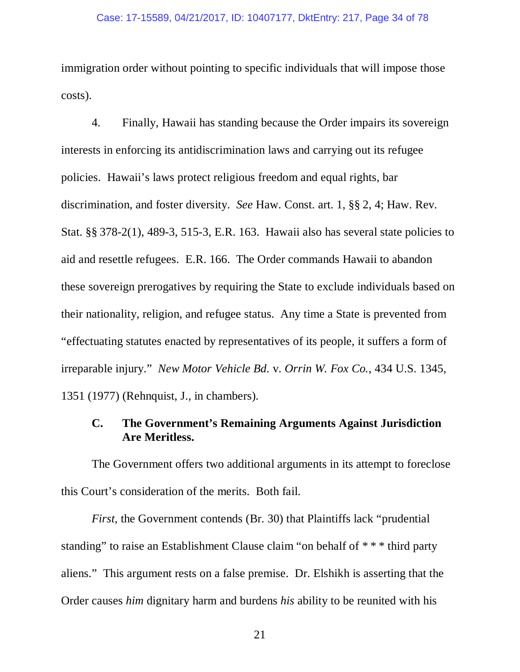immigration order without pointing to specific individuals that will impose those costs).

4. Finally, Hawaii has standing because the Order impairs its sovereign interests in enforcing its antidiscrimination laws and carrying out its refugee policies. Hawaii's laws protect religious freedom and equal rights, bar discrimination, and foster diversity. *See* Haw. Const. art. 1, §§ 2, 4; Haw. Rev. Stat. §§ 378-2(1), 489-3, 515-3, E.R. 163. Hawaii also has several state policies to aid and resettle refugees. E.R. 166. The Order commands Hawaii to abandon these sovereign prerogatives by requiring the State to exclude individuals based on their nationality, religion, and refugee status. Any time a State is prevented from "effectuating statutes enacted by representatives of its people, it suffers a form of irreparable injury." *New Motor Vehicle Bd.* v. *Orrin W. Fox Co.*, 434 U.S. 1345, 1351 (1977) (Rehnquist, J., in chambers).

### **C. The Government's Remaining Arguments Against Jurisdiction Are Meritless.**

The Government offers two additional arguments in its attempt to foreclose this Court's consideration of the merits. Both fail.

*First*, the Government contends (Br. 30) that Plaintiffs lack "prudential standing" to raise an Establishment Clause claim "on behalf of \* \* \* third party aliens." This argument rests on a false premise. Dr. Elshikh is asserting that the Order causes *him* dignitary harm and burdens *his* ability to be reunited with his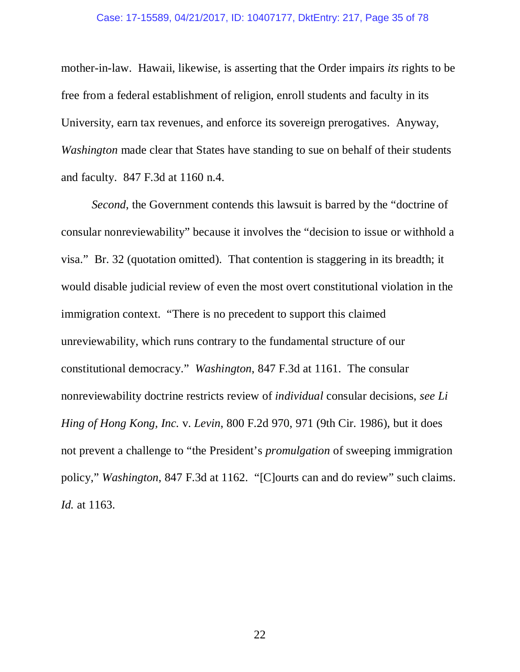#### Case: 17-15589, 04/21/2017, ID: 10407177, DktEntry: 217, Page 35 of 78

mother-in-law. Hawaii, likewise, is asserting that the Order impairs *its* rights to be free from a federal establishment of religion, enroll students and faculty in its University, earn tax revenues, and enforce its sovereign prerogatives. Anyway, *Washington* made clear that States have standing to sue on behalf of their students and faculty. 847 F.3d at 1160 n.4.

*Second*, the Government contends this lawsuit is barred by the "doctrine of consular nonreviewability" because it involves the "decision to issue or withhold a visa." Br. 32 (quotation omitted). That contention is staggering in its breadth; it would disable judicial review of even the most overt constitutional violation in the immigration context. "There is no precedent to support this claimed unreviewability, which runs contrary to the fundamental structure of our constitutional democracy." *Washington*, 847 F.3d at 1161. The consular nonreviewability doctrine restricts review of *individual* consular decisions, *see Li Hing of Hong Kong, Inc.* v. *Levin*, 800 F.2d 970, 971 (9th Cir. 1986), but it does not prevent a challenge to "the President's *promulgation* of sweeping immigration policy," *Washington*, 847 F.3d at 1162. "[C]ourts can and do review" such claims. *Id.* at 1163.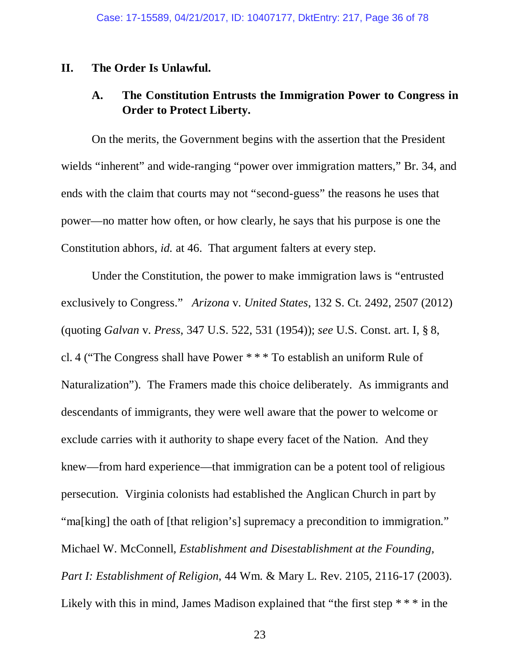#### **II. The Order Is Unlawful.**

### **A. The Constitution Entrusts the Immigration Power to Congress in Order to Protect Liberty.**

On the merits, the Government begins with the assertion that the President wields "inherent" and wide-ranging "power over immigration matters," Br. 34, and ends with the claim that courts may not "second-guess" the reasons he uses that power—no matter how often, or how clearly, he says that his purpose is one the Constitution abhors, *id.* at 46. That argument falters at every step.

Under the Constitution, the power to make immigration laws is "entrusted exclusively to Congress." *Arizona* v. *United States*, 132 S. Ct. 2492, 2507 (2012) (quoting *Galvan* v. *Press*, 347 U.S. 522, 531 (1954)); *see* U.S. Const. art. I, § 8, cl. 4 ("The Congress shall have Power \* \* \* To establish an uniform Rule of Naturalization"). The Framers made this choice deliberately. As immigrants and descendants of immigrants, they were well aware that the power to welcome or exclude carries with it authority to shape every facet of the Nation. And they knew—from hard experience—that immigration can be a potent tool of religious persecution. Virginia colonists had established the Anglican Church in part by "ma[king] the oath of [that religion's] supremacy a precondition to immigration." Michael W. McConnell, *Establishment and Disestablishment at the Founding, Part I: Establishment of Religion*, 44 Wm. & Mary L. Rev. 2105, 2116-17 (2003). Likely with this in mind, James Madison explained that "the first step \* \* \* in the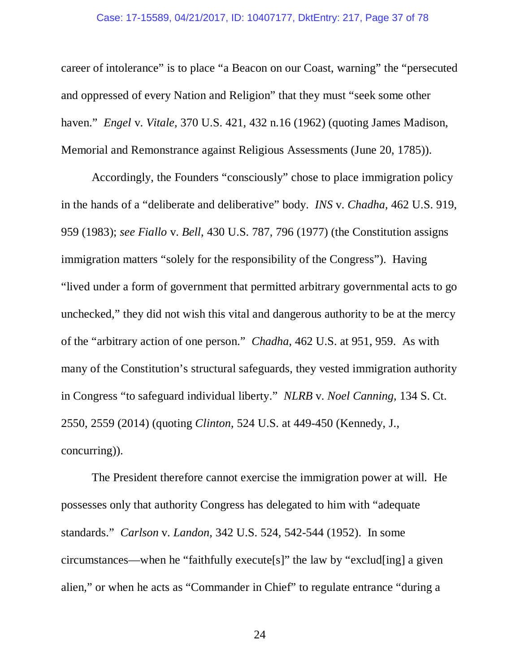#### Case: 17-15589, 04/21/2017, ID: 10407177, DktEntry: 217, Page 37 of 78

career of intolerance" is to place "a Beacon on our Coast, warning" the "persecuted and oppressed of every Nation and Religion" that they must "seek some other haven." *Engel* v. *Vitale*, 370 U.S. 421, 432 n.16 (1962) (quoting James Madison, Memorial and Remonstrance against Religious Assessments (June 20, 1785)).

Accordingly, the Founders "consciously" chose to place immigration policy in the hands of a "deliberate and deliberative" body. *INS* v. *Chadha*, 462 U.S. 919, 959 (1983); *see Fiallo* v. *Bell*, 430 U.S. 787, 796 (1977) (the Constitution assigns immigration matters "solely for the responsibility of the Congress"). Having "lived under a form of government that permitted arbitrary governmental acts to go unchecked," they did not wish this vital and dangerous authority to be at the mercy of the "arbitrary action of one person." *Chadha*, 462 U.S. at 951, 959. As with many of the Constitution's structural safeguards, they vested immigration authority in Congress "to safeguard individual liberty." *NLRB* v. *Noel Canning*, 134 S. Ct. 2550, 2559 (2014) (quoting *Clinton*, 524 U.S. at 449-450 (Kennedy, J., concurring)).

The President therefore cannot exercise the immigration power at will. He possesses only that authority Congress has delegated to him with "adequate standards." *Carlson* v. *Landon*, 342 U.S. 524, 542-544 (1952). In some circumstances—when he "faithfully execute[s]" the law by "exclud[ing] a given alien," or when he acts as "Commander in Chief" to regulate entrance "during a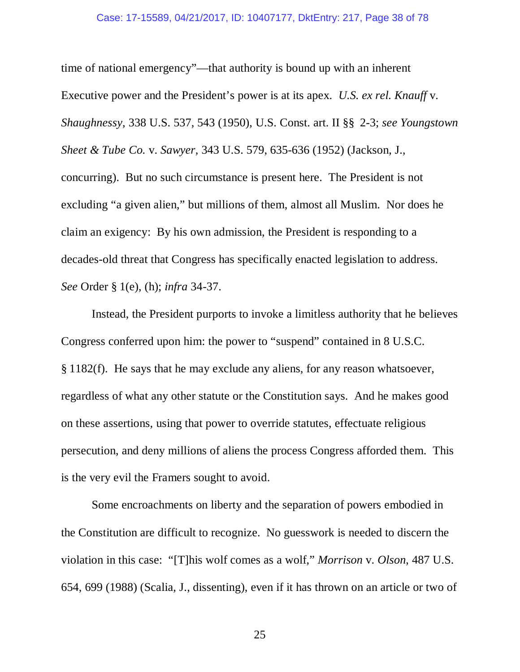time of national emergency"—that authority is bound up with an inherent Executive power and the President's power is at its apex. *U.S. ex rel. Knauff* v. *Shaughnessy*, 338 U.S. 537, 543 (1950), U.S. Const. art. II §§ 2-3; *see Youngstown Sheet & Tube Co.* v. *Sawyer*, 343 U.S. 579, 635-636 (1952) (Jackson, J., concurring). But no such circumstance is present here. The President is not excluding "a given alien," but millions of them, almost all Muslim. Nor does he claim an exigency: By his own admission, the President is responding to a decades-old threat that Congress has specifically enacted legislation to address. *See* Order § 1(e), (h); *infra* 34-37.

Instead, the President purports to invoke a limitless authority that he believes Congress conferred upon him: the power to "suspend" contained in 8 U.S.C. § 1182(f). He says that he may exclude any aliens, for any reason whatsoever, regardless of what any other statute or the Constitution says. And he makes good on these assertions, using that power to override statutes, effectuate religious persecution, and deny millions of aliens the process Congress afforded them. This is the very evil the Framers sought to avoid.

Some encroachments on liberty and the separation of powers embodied in the Constitution are difficult to recognize. No guesswork is needed to discern the violation in this case: "[T]his wolf comes as a wolf," *Morrison* v. *Olson*, 487 U.S. 654, 699 (1988) (Scalia, J., dissenting), even if it has thrown on an article or two of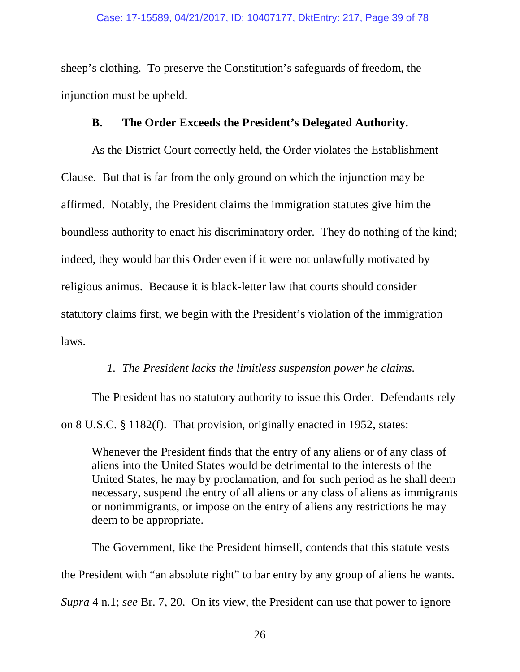sheep's clothing. To preserve the Constitution's safeguards of freedom, the injunction must be upheld.

# **B. The Order Exceeds the President's Delegated Authority.**

As the District Court correctly held, the Order violates the Establishment Clause. But that is far from the only ground on which the injunction may be affirmed. Notably, the President claims the immigration statutes give him the boundless authority to enact his discriminatory order. They do nothing of the kind; indeed, they would bar this Order even if it were not unlawfully motivated by religious animus. Because it is black-letter law that courts should consider statutory claims first, we begin with the President's violation of the immigration laws.

# *1. The President lacks the limitless suspension power he claims.*

The President has no statutory authority to issue this Order. Defendants rely on 8 U.S.C. § 1182(f). That provision, originally enacted in 1952, states:

Whenever the President finds that the entry of any aliens or of any class of aliens into the United States would be detrimental to the interests of the United States, he may by proclamation, and for such period as he shall deem necessary, suspend the entry of all aliens or any class of aliens as immigrants or nonimmigrants, or impose on the entry of aliens any restrictions he may deem to be appropriate.

 The Government, like the President himself, contends that this statute vests the President with "an absolute right" to bar entry by any group of aliens he wants. *Supra* 4 n.1; *see* Br. 7, 20. On its view, the President can use that power to ignore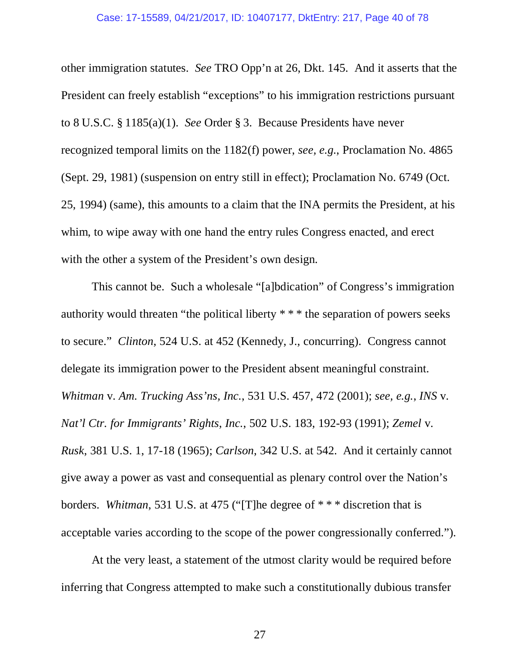other immigration statutes. *See* TRO Opp'n at 26, Dkt. 145. And it asserts that the President can freely establish "exceptions" to his immigration restrictions pursuant to 8 U.S.C. § 1185(a)(1). *See* Order § 3. Because Presidents have never recognized temporal limits on the 1182(f) power, *see, e.g.*, Proclamation No. 4865 (Sept. 29, 1981) (suspension on entry still in effect); Proclamation No. 6749 (Oct. 25, 1994) (same), this amounts to a claim that the INA permits the President, at his whim, to wipe away with one hand the entry rules Congress enacted, and erect with the other a system of the President's own design.

 This cannot be. Such a wholesale "[a]bdication" of Congress's immigration authority would threaten "the political liberty \* \* \* the separation of powers seeks to secure." *Clinton*, 524 U.S. at 452 (Kennedy, J., concurring). Congress cannot delegate its immigration power to the President absent meaningful constraint. *Whitman* v. *Am. Trucking Ass'ns, Inc.*, 531 U.S. 457, 472 (2001); *see, e.g.*, *INS* v. *Nat'l Ctr. for Immigrants' Rights*, *Inc.*, 502 U.S. 183, 192-93 (1991); *Zemel* v. *Rusk*, 381 U.S. 1, 17-18 (1965); *Carlson*, 342 U.S. at 542. And it certainly cannot give away a power as vast and consequential as plenary control over the Nation's borders. *Whitman*, 531 U.S. at 475 ("[T]he degree of \* \* \* discretion that is acceptable varies according to the scope of the power congressionally conferred.").

At the very least, a statement of the utmost clarity would be required before inferring that Congress attempted to make such a constitutionally dubious transfer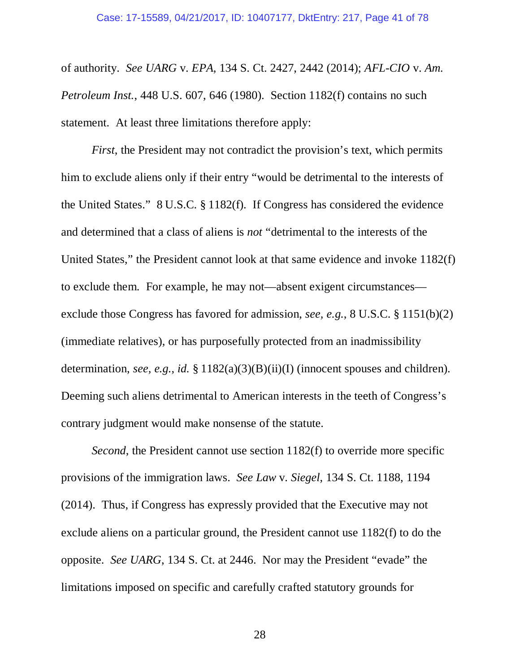of authority. *See UARG* v. *EPA*, 134 S. Ct. 2427, 2442 (2014); *AFL-CIO* v. *Am. Petroleum Inst.*, 448 U.S. 607, 646 (1980).Section 1182(f) contains no such statement. At least three limitations therefore apply:

*First*, the President may not contradict the provision's text, which permits him to exclude aliens only if their entry "would be detrimental to the interests of the United States." 8 U.S.C. § 1182(f). If Congress has considered the evidence and determined that a class of aliens is *not* "detrimental to the interests of the United States," the President cannot look at that same evidence and invoke 1182(f) to exclude them. For example, he may not—absent exigent circumstances exclude those Congress has favored for admission, *see, e.g.*, 8 U.S.C. § 1151(b)(2) (immediate relatives), or has purposefully protected from an inadmissibility determination, *see, e.g.*, *id.* § 1182(a)(3)(B)(ii)(I) (innocent spouses and children). Deeming such aliens detrimental to American interests in the teeth of Congress's contrary judgment would make nonsense of the statute.

*Second*, the President cannot use section 1182(f) to override more specific provisions of the immigration laws. *See Law* v. *Siegel*, 134 S. Ct. 1188, 1194 (2014). Thus, if Congress has expressly provided that the Executive may not exclude aliens on a particular ground, the President cannot use 1182(f) to do the opposite. *See UARG*, 134 S. Ct. at 2446. Nor may the President "evade" the limitations imposed on specific and carefully crafted statutory grounds for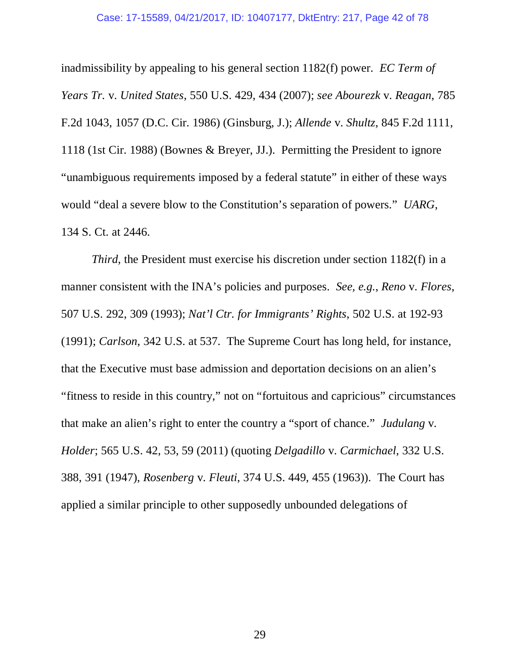#### Case: 17-15589, 04/21/2017, ID: 10407177, DktEntry: 217, Page 42 of 78

inadmissibility by appealing to his general section 1182(f) power. *EC Term of Years Tr.* v. *United States*, 550 U.S. 429, 434 (2007); *see Abourezk* v. *Reagan*, 785 F.2d 1043, 1057 (D.C. Cir. 1986) (Ginsburg, J.); *Allende* v. *Shultz*, 845 F.2d 1111, 1118 (1st Cir. 1988) (Bownes & Breyer, JJ.). Permitting the President to ignore "unambiguous requirements imposed by a federal statute" in either of these ways would "deal a severe blow to the Constitution's separation of powers." *UARG*, 134 S. Ct. at 2446.

*Third*, the President must exercise his discretion under section 1182(f) in a manner consistent with the INA's policies and purposes. *See, e.g.*, *Reno* v. *Flores*, 507 U.S. 292, 309 (1993); *Nat'l Ctr. for Immigrants' Rights*, 502 U.S. at 192-93 (1991); *Carlson*, 342 U.S. at 537.The Supreme Court has long held, for instance, that the Executive must base admission and deportation decisions on an alien's "fitness to reside in this country," not on "fortuitous and capricious" circumstances that make an alien's right to enter the country a "sport of chance." *Judulang* v. *Holder*; 565 U.S. 42, 53, 59 (2011) (quoting *Delgadillo* v. *Carmichael*, 332 U.S. 388, 391 (1947), *Rosenberg* v. *Fleuti*, 374 U.S. 449, 455 (1963)). The Court has applied a similar principle to other supposedly unbounded delegations of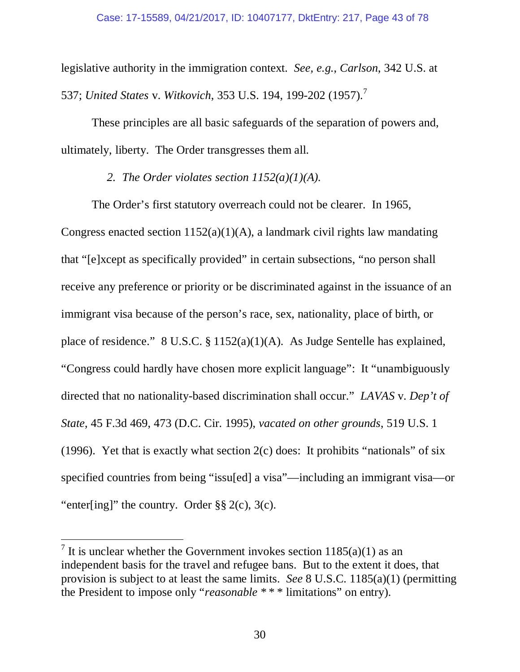legislative authority in the immigration context. *See, e.g.*, *Carlson*, 342 U.S. at 537; *United States* v. *Witkovich*, 353 U.S. 194, 199-202 (1957).<sup>7</sup>

These principles are all basic safeguards of the separation of powers and, ultimately, liberty. The Order transgresses them all.

# *2. The Order violates section 1152(a)(1)(A).*

The Order's first statutory overreach could not be clearer. In 1965, Congress enacted section  $1152(a)(1)(A)$ , a landmark civil rights law mandating that "[e]xcept as specifically provided" in certain subsections, "no person shall receive any preference or priority or be discriminated against in the issuance of an immigrant visa because of the person's race, sex, nationality, place of birth, or place of residence." 8 U.S.C. § 1152(a)(1)(A). As Judge Sentelle has explained, "Congress could hardly have chosen more explicit language": It "unambiguously directed that no nationality-based discrimination shall occur." *LAVAS* v. *Dep't of State*, 45 F.3d 469, 473 (D.C. Cir. 1995), *vacated on other grounds*, 519 U.S. 1 (1996). Yet that is exactly what section  $2(c)$  does: It prohibits "nationals" of six specified countries from being "issu[ed] a visa"—including an immigrant visa—or "enter[ing]" the country. Order  $\S\S 2(c)$ , 3(c).

 $\overline{a}$ 

<sup>&</sup>lt;sup>7</sup> It is unclear whether the Government invokes section  $1185(a)(1)$  as an independent basis for the travel and refugee bans. But to the extent it does, that provision is subject to at least the same limits. *See* 8 U.S.C. 1185(a)(1) (permitting the President to impose only "*reasonable* \* \* \* limitations" on entry).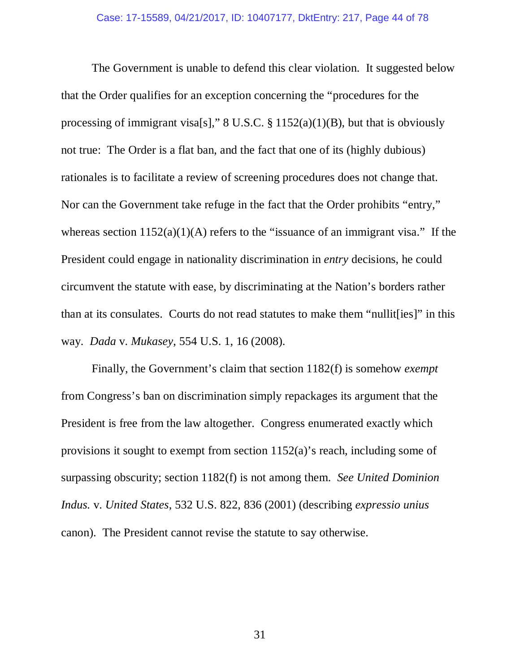The Government is unable to defend this clear violation. It suggested below that the Order qualifies for an exception concerning the "procedures for the processing of immigrant visa[s]," 8 U.S.C. § 1152(a)(1)(B), but that is obviously not true: The Order is a flat ban, and the fact that one of its (highly dubious) rationales is to facilitate a review of screening procedures does not change that. Nor can the Government take refuge in the fact that the Order prohibits "entry," whereas section  $1152(a)(1)(A)$  refers to the "issuance of an immigrant visa." If the President could engage in nationality discrimination in *entry* decisions, he could circumvent the statute with ease, by discriminating at the Nation's borders rather than at its consulates. Courts do not read statutes to make them "nullit[ies]" in this way. *Dada* v. *Mukasey*, 554 U.S. 1, 16 (2008).

Finally, the Government's claim that section 1182(f) is somehow *exempt* from Congress's ban on discrimination simply repackages its argument that the President is free from the law altogether. Congress enumerated exactly which provisions it sought to exempt from section 1152(a)'s reach, including some of surpassing obscurity; section 1182(f) is not among them. *See United Dominion Indus.* v. *United States*, 532 U.S. 822, 836 (2001) (describing *expressio unius*  canon). The President cannot revise the statute to say otherwise.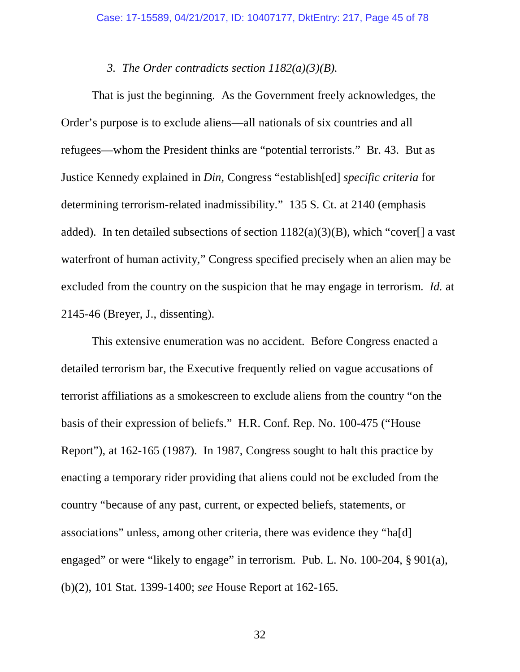#### *3. The Order contradicts section 1182(a)(3)(B).*

That is just the beginning. As the Government freely acknowledges, the Order's purpose is to exclude aliens—all nationals of six countries and all refugees—whom the President thinks are "potential terrorists." Br. 43. But as Justice Kennedy explained in *Din*, Congress "establish[ed] *specific criteria* for determining terrorism-related inadmissibility." 135 S. Ct. at 2140 (emphasis added). In ten detailed subsections of section  $1182(a)(3)(B)$ , which "cover[] a vast waterfront of human activity," Congress specified precisely when an alien may be excluded from the country on the suspicion that he may engage in terrorism. *Id.* at 2145-46 (Breyer, J., dissenting).

This extensive enumeration was no accident. Before Congress enacted a detailed terrorism bar, the Executive frequently relied on vague accusations of terrorist affiliations as a smokescreen to exclude aliens from the country "on the basis of their expression of beliefs." H.R. Conf. Rep. No. 100-475 ("House Report"), at 162-165 (1987). In 1987, Congress sought to halt this practice by enacting a temporary rider providing that aliens could not be excluded from the country "because of any past, current, or expected beliefs, statements, or associations" unless, among other criteria, there was evidence they "ha[d] engaged" or were "likely to engage" in terrorism. Pub. L. No. 100-204, § 901(a), (b)(2), 101 Stat. 1399-1400; *see* House Report at 162-165.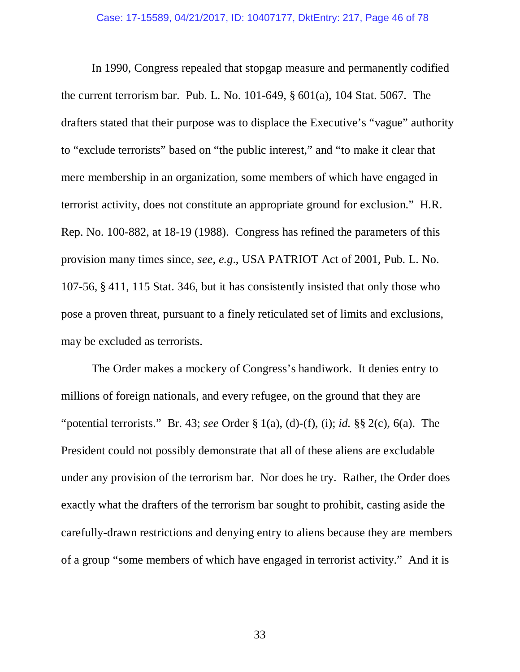In 1990, Congress repealed that stopgap measure and permanently codified the current terrorism bar. Pub. L. No. 101-649, § 601(a), 104 Stat. 5067. The drafters stated that their purpose was to displace the Executive's "vague" authority to "exclude terrorists" based on "the public interest," and "to make it clear that mere membership in an organization, some members of which have engaged in terrorist activity, does not constitute an appropriate ground for exclusion." H.R. Rep. No. 100-882, at 18-19 (1988). Congress has refined the parameters of this provision many times since, *see, e.g*., USA PATRIOT Act of 2001, Pub. L. No. 107-56, § 411, 115 Stat. 346, but it has consistently insisted that only those who pose a proven threat, pursuant to a finely reticulated set of limits and exclusions, may be excluded as terrorists.

The Order makes a mockery of Congress's handiwork. It denies entry to millions of foreign nationals, and every refugee, on the ground that they are "potential terrorists." Br. 43; *see* Order § 1(a), (d)-(f), (i); *id.* §§ 2(c), 6(a). The President could not possibly demonstrate that all of these aliens are excludable under any provision of the terrorism bar. Nor does he try. Rather, the Order does exactly what the drafters of the terrorism bar sought to prohibit, casting aside the carefully-drawn restrictions and denying entry to aliens because they are members of a group "some members of which have engaged in terrorist activity." And it is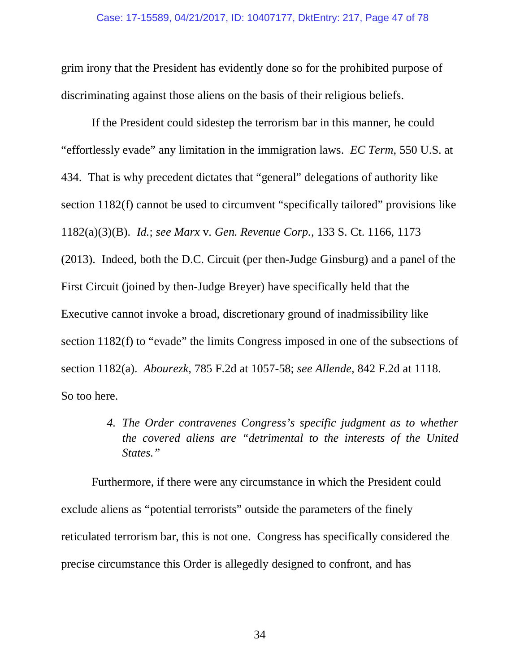grim irony that the President has evidently done so for the prohibited purpose of discriminating against those aliens on the basis of their religious beliefs.

If the President could sidestep the terrorism bar in this manner, he could "effortlessly evade" any limitation in the immigration laws. *EC Term*, 550 U.S. at 434. That is why precedent dictates that "general" delegations of authority like section 1182(f) cannot be used to circumvent "specifically tailored" provisions like 1182(a)(3)(B). *Id.*; *see Marx* v. *Gen. Revenue Corp.*, 133 S. Ct. 1166, 1173 (2013). Indeed, both the D.C. Circuit (per then-Judge Ginsburg) and a panel of the First Circuit (joined by then-Judge Breyer) have specifically held that the Executive cannot invoke a broad, discretionary ground of inadmissibility like section 1182(f) to "evade" the limits Congress imposed in one of the subsections of section 1182(a). *Abourezk*, 785 F.2d at 1057-58; *see Allende*, 842 F.2d at 1118. So too here.

> *4. The Order contravenes Congress's specific judgment as to whether the covered aliens are "detrimental to the interests of the United States."*

Furthermore, if there were any circumstance in which the President could exclude aliens as "potential terrorists" outside the parameters of the finely reticulated terrorism bar, this is not one. Congress has specifically considered the precise circumstance this Order is allegedly designed to confront, and has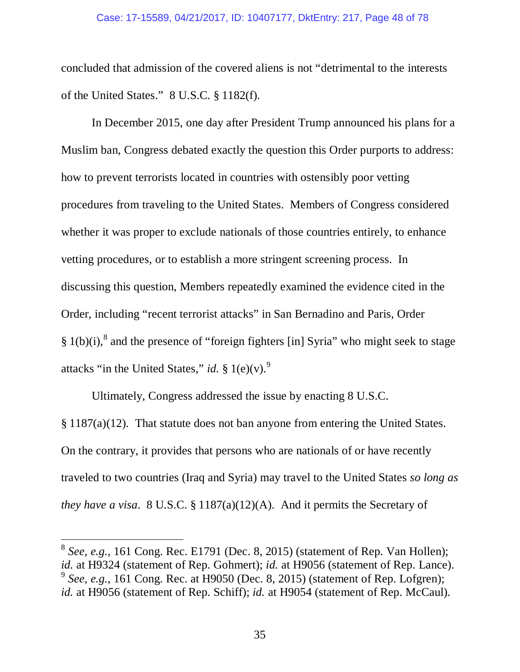concluded that admission of the covered aliens is not "detrimental to the interests of the United States." 8 U.S.C. § 1182(f).

In December 2015, one day after President Trump announced his plans for a Muslim ban, Congress debated exactly the question this Order purports to address: how to prevent terrorists located in countries with ostensibly poor vetting procedures from traveling to the United States. Members of Congress considered whether it was proper to exclude nationals of those countries entirely, to enhance vetting procedures, or to establish a more stringent screening process. In discussing this question, Members repeatedly examined the evidence cited in the Order, including "recent terrorist attacks" in San Bernadino and Paris, Order  $§ 1(b)(i),$ <sup>8</sup> and the presence of "foreign fighters [in] Syria" who might seek to stage attacks "in the United States," *id.* § 1(e)(v).<sup>9</sup>

Ultimately, Congress addressed the issue by enacting 8 U.S.C. § 1187(a)(12). That statute does not ban anyone from entering the United States. On the contrary, it provides that persons who are nationals of or have recently traveled to two countries (Iraq and Syria) may travel to the United States *so long as they have a visa*. 8 U.S.C. § 1187(a)(12)(A). And it permits the Secretary of

 $\overline{a}$ 

 $8$  See, e.g., 161 Cong. Rec. E1791 (Dec. 8, 2015) (statement of Rep. Van Hollen); *id.* at H9324 (statement of Rep. Gohmert); *id.* at H9056 (statement of Rep. Lance). <sup>9</sup> See, e.g., 161 Cong. Rec. at H9050 (Dec. 8, 2015) (statement of Rep. Lofgren); *id.* at H9056 (statement of Rep. Schiff); *id.* at H9054 (statement of Rep. McCaul).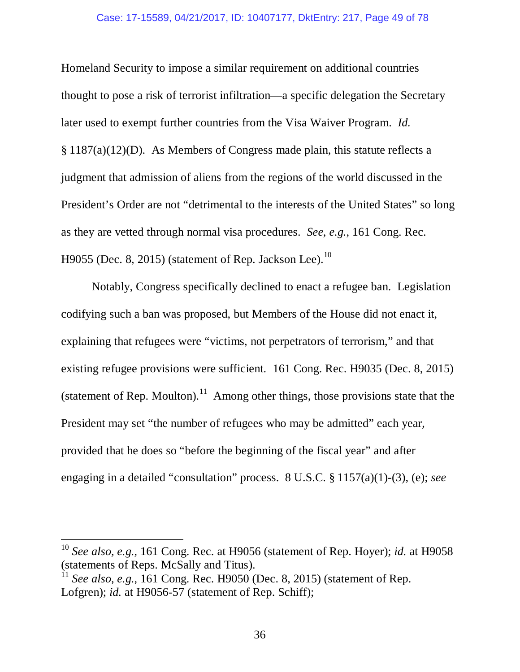#### Case: 17-15589, 04/21/2017, ID: 10407177, DktEntry: 217, Page 49 of 78

Homeland Security to impose a similar requirement on additional countries thought to pose a risk of terrorist infiltration—a specific delegation the Secretary later used to exempt further countries from the Visa Waiver Program. *Id.*  § 1187(a)(12)(D). As Members of Congress made plain, this statute reflects a judgment that admission of aliens from the regions of the world discussed in the President's Order are not "detrimental to the interests of the United States" so long as they are vetted through normal visa procedures. *See, e.g.*, 161 Cong. Rec. H9055 (Dec. 8, 2015) (statement of Rep. Jackson Lee).<sup>10</sup>

Notably, Congress specifically declined to enact a refugee ban. Legislation codifying such a ban was proposed, but Members of the House did not enact it, explaining that refugees were "victims, not perpetrators of terrorism," and that existing refugee provisions were sufficient. 161 Cong. Rec. H9035 (Dec. 8, 2015) (statement of Rep. Moulton).<sup>11</sup> Among other things, those provisions state that the President may set "the number of refugees who may be admitted" each year, provided that he does so "before the beginning of the fiscal year" and after engaging in a detailed "consultation" process. 8 U.S.C. § 1157(a)(1)-(3), (e); *see* 

 $\overline{a}$ 

<sup>10</sup> *See also, e.g.*, 161 Cong. Rec. at H9056 (statement of Rep. Hoyer); *id.* at H9058 (statements of Reps. McSally and Titus).

<sup>11</sup> *See also, e.g.,* 161 Cong. Rec. H9050 (Dec. 8, 2015) (statement of Rep. Lofgren); *id.* at H9056-57 (statement of Rep. Schiff);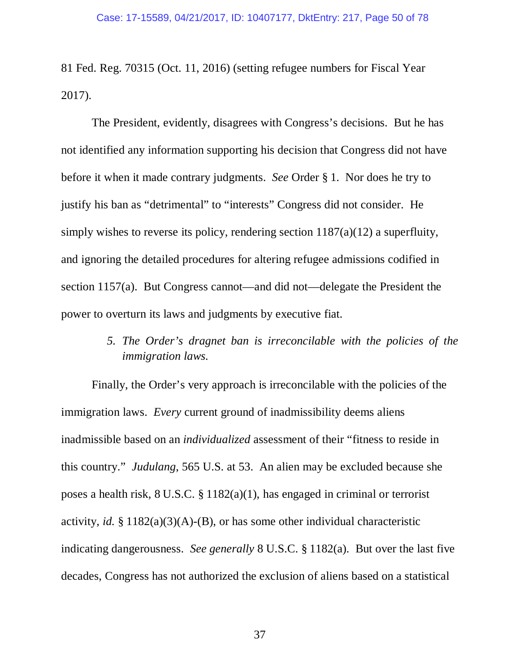81 Fed. Reg. 70315 (Oct. 11, 2016) (setting refugee numbers for Fiscal Year 2017).

The President, evidently, disagrees with Congress's decisions. But he has not identified any information supporting his decision that Congress did not have before it when it made contrary judgments. *See* Order § 1. Nor does he try to justify his ban as "detrimental" to "interests" Congress did not consider. He simply wishes to reverse its policy, rendering section 1187(a)(12) a superfluity, and ignoring the detailed procedures for altering refugee admissions codified in section 1157(a). But Congress cannot—and did not—delegate the President the power to overturn its laws and judgments by executive fiat.

> *5. The Order's dragnet ban is irreconcilable with the policies of the immigration laws.*

Finally, the Order's very approach is irreconcilable with the policies of the immigration laws. *Every* current ground of inadmissibility deems aliens inadmissible based on an *individualized* assessment of their "fitness to reside in this country." *Judulang*, 565 U.S. at 53. An alien may be excluded because she poses a health risk, 8 U.S.C. § 1182(a)(1), has engaged in criminal or terrorist activity, *id.* § 1182(a)(3)(A)-(B), or has some other individual characteristic indicating dangerousness. *See generally* 8 U.S.C. § 1182(a). But over the last five decades, Congress has not authorized the exclusion of aliens based on a statistical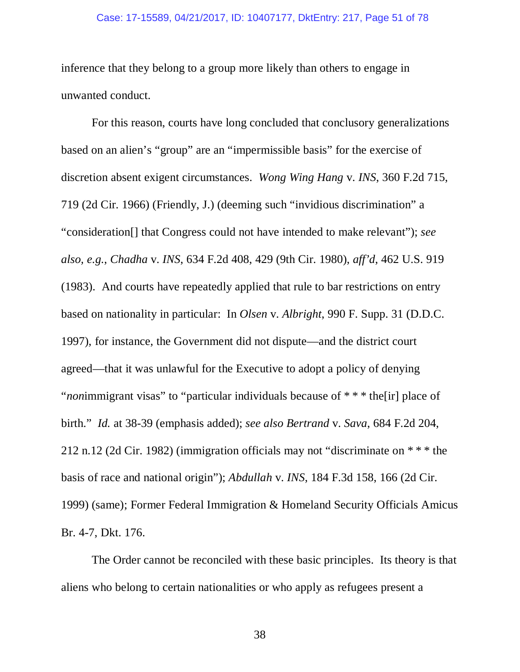#### Case: 17-15589, 04/21/2017, ID: 10407177, DktEntry: 217, Page 51 of 78

inference that they belong to a group more likely than others to engage in unwanted conduct.

For this reason, courts have long concluded that conclusory generalizations based on an alien's "group" are an "impermissible basis" for the exercise of discretion absent exigent circumstances. *Wong Wing Hang* v. *INS*, 360 F.2d 715, 719 (2d Cir. 1966) (Friendly, J.) (deeming such "invidious discrimination" a "consideration[] that Congress could not have intended to make relevant"); *see also, e.g.*, *Chadha* v. *INS*, 634 F.2d 408, 429 (9th Cir. 1980), *aff'd*, 462 U.S. 919 (1983). And courts have repeatedly applied that rule to bar restrictions on entry based on nationality in particular: In *Olsen* v. *Albright*, 990 F. Supp. 31 (D.D.C. 1997), for instance, the Government did not dispute—and the district court agreed—that it was unlawful for the Executive to adopt a policy of denying "*non*immigrant visas" to "particular individuals because of \* \* \* the[ir] place of birth." *Id.* at 38-39 (emphasis added); *see also Bertrand* v. *Sava*, 684 F.2d 204, 212 n.12 (2d Cir. 1982) (immigration officials may not "discriminate on \* \* \* the basis of race and national origin"); *Abdullah* v. *INS*, 184 F.3d 158, 166 (2d Cir. 1999) (same); Former Federal Immigration & Homeland Security Officials Amicus Br. 4-7, Dkt. 176.

The Order cannot be reconciled with these basic principles. Its theory is that aliens who belong to certain nationalities or who apply as refugees present a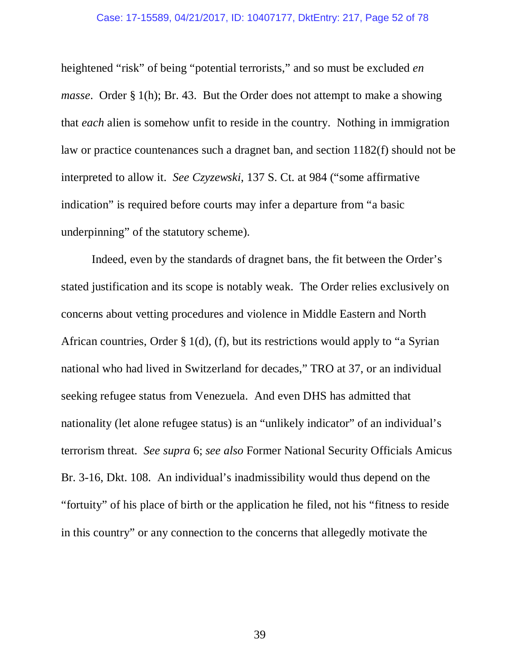#### Case: 17-15589, 04/21/2017, ID: 10407177, DktEntry: 217, Page 52 of 78

heightened "risk" of being "potential terrorists," and so must be excluded *en masse.* Order § 1(h); Br. 43. But the Order does not attempt to make a showing that *each* alien is somehow unfit to reside in the country. Nothing in immigration law or practice countenances such a dragnet ban, and section 1182(f) should not be interpreted to allow it. *See Czyzewski*, 137 S. Ct. at 984 ("some affirmative indication" is required before courts may infer a departure from "a basic underpinning" of the statutory scheme).

Indeed, even by the standards of dragnet bans, the fit between the Order's stated justification and its scope is notably weak. The Order relies exclusively on concerns about vetting procedures and violence in Middle Eastern and North African countries, Order § 1(d), (f), but its restrictions would apply to "a Syrian national who had lived in Switzerland for decades," TRO at 37, or an individual seeking refugee status from Venezuela. And even DHS has admitted that nationality (let alone refugee status) is an "unlikely indicator" of an individual's terrorism threat. *See supra* 6; *see also* Former National Security Officials Amicus Br. 3-16, Dkt. 108. An individual's inadmissibility would thus depend on the "fortuity" of his place of birth or the application he filed, not his "fitness to reside in this country" or any connection to the concerns that allegedly motivate the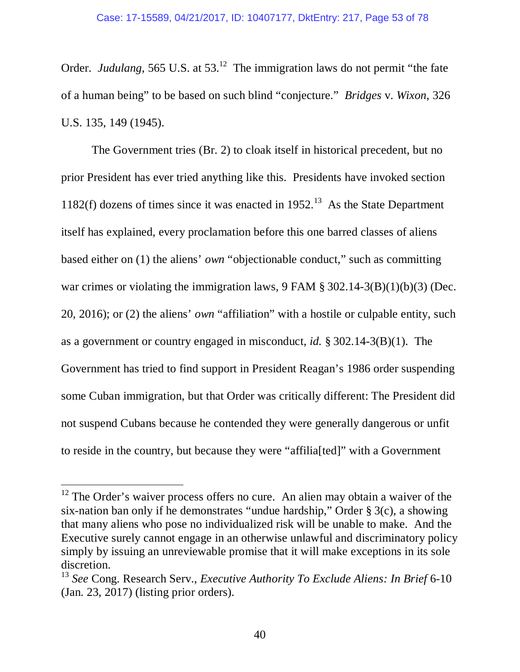Order. *Judulang*, 565 U.S. at 53.<sup>12</sup> The immigration laws do not permit "the fate of a human being" to be based on such blind "conjecture." *Bridges* v. *Wixon*, 326 U.S. 135, 149 (1945).

The Government tries (Br. 2) to cloak itself in historical precedent, but no prior President has ever tried anything like this. Presidents have invoked section 1182(f) dozens of times since it was enacted in  $1952<sup>13</sup>$  As the State Department itself has explained, every proclamation before this one barred classes of aliens based either on (1) the aliens' *own* "objectionable conduct," such as committing war crimes or violating the immigration laws, 9 FAM § 302.14-3(B)(1)(b)(3) (Dec. 20, 2016); or (2) the aliens' *own* "affiliation" with a hostile or culpable entity, such as a government or country engaged in misconduct, *id.* § 302.14-3(B)(1). The Government has tried to find support in President Reagan's 1986 order suspending some Cuban immigration, but that Order was critically different: The President did not suspend Cubans because he contended they were generally dangerous or unfit to reside in the country, but because they were "affilia[ted]" with a Government

 $\overline{a}$ 

 $12$  The Order's waiver process offers no cure. An alien may obtain a waiver of the six-nation ban only if he demonstrates "undue hardship," Order § 3(c), a showing that many aliens who pose no individualized risk will be unable to make. And the Executive surely cannot engage in an otherwise unlawful and discriminatory policy simply by issuing an unreviewable promise that it will make exceptions in its sole discretion.

<sup>13</sup> *See* Cong. Research Serv., *Executive Authority To Exclude Aliens: In Brief* 6-10 (Jan. 23, 2017) (listing prior orders).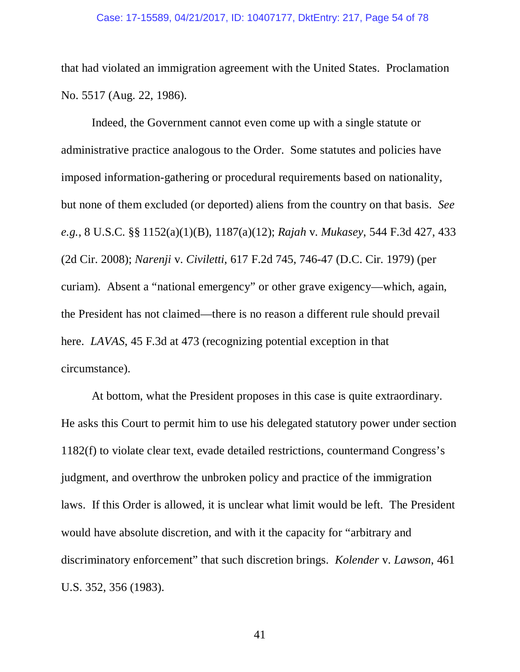#### Case: 17-15589, 04/21/2017, ID: 10407177, DktEntry: 217, Page 54 of 78

that had violated an immigration agreement with the United States. Proclamation No. 5517 (Aug. 22, 1986).

Indeed, the Government cannot even come up with a single statute or administrative practice analogous to the Order. Some statutes and policies have imposed information-gathering or procedural requirements based on nationality, but none of them excluded (or deported) aliens from the country on that basis. *See e.g.*, 8 U.S.C. §§ 1152(a)(1)(B), 1187(a)(12); *Rajah* v. *Mukasey*, 544 F.3d 427, 433 (2d Cir. 2008); *Narenji* v. *Civiletti*, 617 F.2d 745, 746-47 (D.C. Cir. 1979) (per curiam). Absent a "national emergency" or other grave exigency—which, again, the President has not claimed—there is no reason a different rule should prevail here. *LAVAS*, 45 F.3d at 473 (recognizing potential exception in that circumstance).

At bottom, what the President proposes in this case is quite extraordinary. He asks this Court to permit him to use his delegated statutory power under section 1182(f) to violate clear text, evade detailed restrictions, countermand Congress's judgment, and overthrow the unbroken policy and practice of the immigration laws. If this Order is allowed, it is unclear what limit would be left. The President would have absolute discretion, and with it the capacity for "arbitrary and discriminatory enforcement" that such discretion brings. *Kolender* v. *Lawson*, 461 U.S. 352, 356 (1983).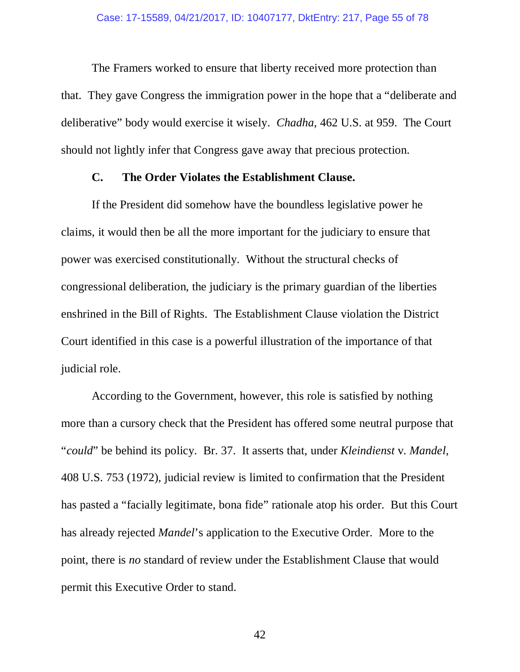The Framers worked to ensure that liberty received more protection than that. They gave Congress the immigration power in the hope that a "deliberate and deliberative" body would exercise it wisely. *Chadha*, 462 U.S. at 959. The Court should not lightly infer that Congress gave away that precious protection.

### **C. The Order Violates the Establishment Clause.**

If the President did somehow have the boundless legislative power he claims, it would then be all the more important for the judiciary to ensure that power was exercised constitutionally. Without the structural checks of congressional deliberation, the judiciary is the primary guardian of the liberties enshrined in the Bill of Rights. The Establishment Clause violation the District Court identified in this case is a powerful illustration of the importance of that judicial role.

According to the Government, however, this role is satisfied by nothing more than a cursory check that the President has offered some neutral purpose that "*could*" be behind its policy. Br. 37. It asserts that, under *Kleindienst* v. *Mandel*, 408 U.S. 753 (1972), judicial review is limited to confirmation that the President has pasted a "facially legitimate, bona fide" rationale atop his order. But this Court has already rejected *Mandel*'s application to the Executive Order. More to the point, there is *no* standard of review under the Establishment Clause that would permit this Executive Order to stand.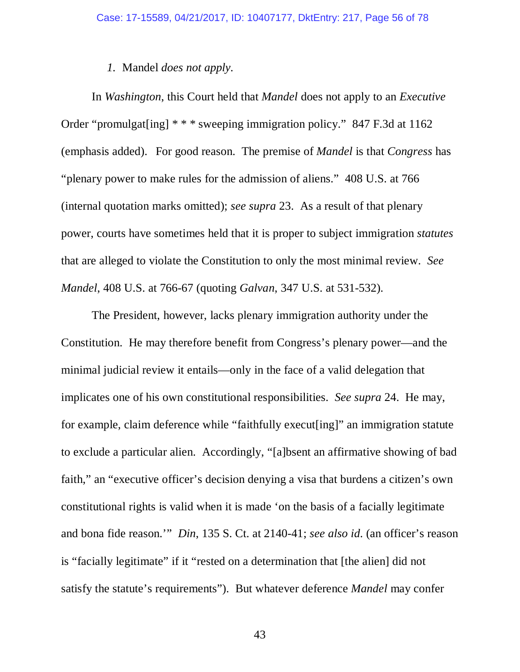# *1.* Mandel *does not apply.*

In *Washington*, this Court held that *Mandel* does not apply to an *Executive*  Order "promulgat[ing] \* \* \* sweeping immigration policy." 847 F.3d at 1162 (emphasis added). For good reason. The premise of *Mandel* is that *Congress* has "plenary power to make rules for the admission of aliens." 408 U.S. at 766 (internal quotation marks omitted); *see supra* 23. As a result of that plenary power, courts have sometimes held that it is proper to subject immigration *statutes* that are alleged to violate the Constitution to only the most minimal review. *See Mandel*, 408 U.S. at 766-67 (quoting *Galvan*, 347 U.S. at 531-532).

The President, however, lacks plenary immigration authority under the Constitution. He may therefore benefit from Congress's plenary power—and the minimal judicial review it entails—only in the face of a valid delegation that implicates one of his own constitutional responsibilities. *See supra* 24. He may, for example, claim deference while "faithfully execut[ing]" an immigration statute to exclude a particular alien. Accordingly, "[a]bsent an affirmative showing of bad faith," an "executive officer's decision denying a visa that burdens a citizen's own constitutional rights is valid when it is made 'on the basis of a facially legitimate and bona fide reason.'" *Din*, 135 S. Ct. at 2140-41; *see also id*. (an officer's reason is "facially legitimate" if it "rested on a determination that [the alien] did not satisfy the statute's requirements"). But whatever deference *Mandel* may confer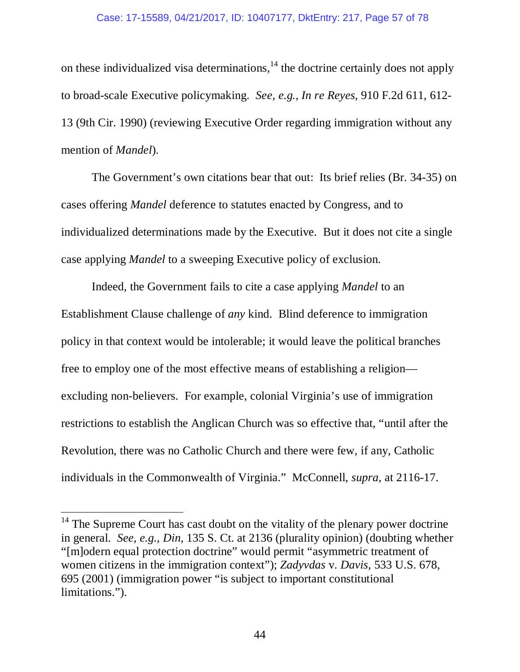#### Case: 17-15589, 04/21/2017, ID: 10407177, DktEntry: 217, Page 57 of 78

on these individualized visa determinations,  $14$  the doctrine certainly does not apply to broad-scale Executive policymaking. *See, e.g.*, *In re Reyes*, 910 F.2d 611, 612- 13 (9th Cir. 1990) (reviewing Executive Order regarding immigration without any mention of *Mandel*).

The Government's own citations bear that out: Its brief relies (Br. 34-35) on cases offering *Mandel* deference to statutes enacted by Congress, and to individualized determinations made by the Executive. But it does not cite a single case applying *Mandel* to a sweeping Executive policy of exclusion.

Indeed, the Government fails to cite a case applying *Mandel* to an Establishment Clause challenge of *any* kind. Blind deference to immigration policy in that context would be intolerable; it would leave the political branches free to employ one of the most effective means of establishing a religion excluding non-believers. For example, colonial Virginia's use of immigration restrictions to establish the Anglican Church was so effective that, "until after the Revolution, there was no Catholic Church and there were few, if any, Catholic individuals in the Commonwealth of Virginia." McConnell, *supra*, at 2116-17.

l

 $14$  The Supreme Court has cast doubt on the vitality of the plenary power doctrine in general. *See, e.g.*, *Din*, 135 S. Ct. at 2136 (plurality opinion) (doubting whether "[m]odern equal protection doctrine" would permit "asymmetric treatment of women citizens in the immigration context"); *Zadyvdas* v. *Davis*, 533 U.S. 678, 695 (2001) (immigration power "is subject to important constitutional limitations.").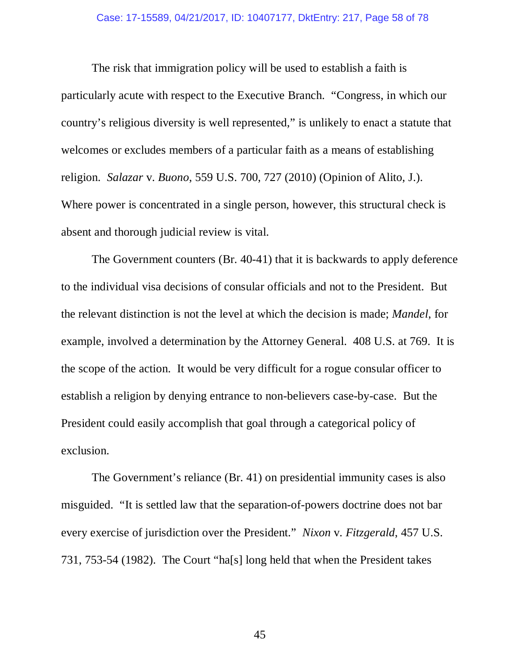The risk that immigration policy will be used to establish a faith is particularly acute with respect to the Executive Branch. "Congress, in which our country's religious diversity is well represented," is unlikely to enact a statute that welcomes or excludes members of a particular faith as a means of establishing religion. *Salazar* v. *Buono*, 559 U.S. 700, 727 (2010) (Opinion of Alito, J.). Where power is concentrated in a single person, however, this structural check is absent and thorough judicial review is vital.

The Government counters (Br. 40-41) that it is backwards to apply deference to the individual visa decisions of consular officials and not to the President. But the relevant distinction is not the level at which the decision is made; *Mandel*, for example, involved a determination by the Attorney General. 408 U.S. at 769. It is the scope of the action. It would be very difficult for a rogue consular officer to establish a religion by denying entrance to non-believers case-by-case. But the President could easily accomplish that goal through a categorical policy of exclusion.

The Government's reliance (Br. 41) on presidential immunity cases is also misguided. "It is settled law that the separation-of-powers doctrine does not bar every exercise of jurisdiction over the President." *Nixon* v. *Fitzgerald*, 457 U.S. 731, 753-54 (1982). The Court "ha[s] long held that when the President takes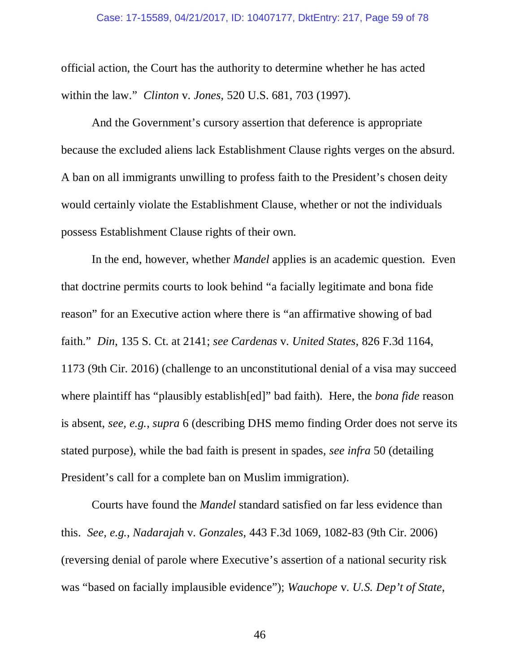official action, the Court has the authority to determine whether he has acted within the law." *Clinton* v. *Jones*, 520 U.S. 681, 703 (1997).

And the Government's cursory assertion that deference is appropriate because the excluded aliens lack Establishment Clause rights verges on the absurd. A ban on all immigrants unwilling to profess faith to the President's chosen deity would certainly violate the Establishment Clause, whether or not the individuals possess Establishment Clause rights of their own.

In the end, however, whether *Mandel* applies is an academic question. Even that doctrine permits courts to look behind "a facially legitimate and bona fide reason" for an Executive action where there is "an affirmative showing of bad faith." *Din*, 135 S. Ct. at 2141; *see Cardenas* v. *United States*, 826 F.3d 1164, 1173 (9th Cir. 2016) (challenge to an unconstitutional denial of a visa may succeed where plaintiff has "plausibly establish[ed]" bad faith). Here, the *bona fide* reason is absent, *see, e.g.*, *supra* 6 (describing DHS memo finding Order does not serve its stated purpose), while the bad faith is present in spades, *see infra* 50 (detailing President's call for a complete ban on Muslim immigration).

Courts have found the *Mandel* standard satisfied on far less evidence than this. *See, e.g.*, *Nadarajah* v. *Gonzales*, 443 F.3d 1069, 1082-83 (9th Cir. 2006) (reversing denial of parole where Executive's assertion of a national security risk was "based on facially implausible evidence"); *Wauchope* v. *U.S. Dep't of State*,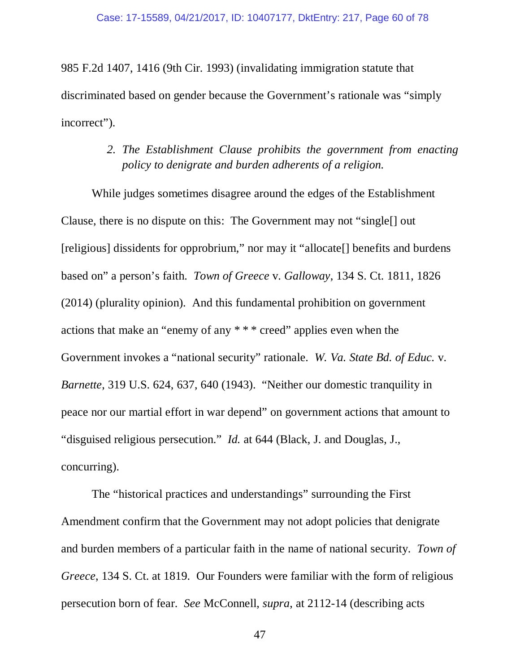985 F.2d 1407, 1416 (9th Cir. 1993) (invalidating immigration statute that discriminated based on gender because the Government's rationale was "simply incorrect").

# *2. The Establishment Clause prohibits the government from enacting policy to denigrate and burden adherents of a religion.*

While judges sometimes disagree around the edges of the Establishment Clause, there is no dispute on this: The Government may not "single[] out [religious] dissidents for opprobrium," nor may it "allocate[] benefits and burdens based on" a person's faith. *Town of Greece* v. *Galloway*, 134 S. Ct. 1811, 1826 (2014) (plurality opinion). And this fundamental prohibition on government actions that make an "enemy of any \* \* \* creed" applies even when the Government invokes a "national security" rationale. *W. Va. State Bd. of Educ.* v. *Barnette*, 319 U.S. 624, 637, 640 (1943). "Neither our domestic tranquility in peace nor our martial effort in war depend" on government actions that amount to "disguised religious persecution." *Id.* at 644 (Black, J. and Douglas, J., concurring).

The "historical practices and understandings" surrounding the First Amendment confirm that the Government may not adopt policies that denigrate and burden members of a particular faith in the name of national security. *Town of Greece*, 134 S. Ct. at 1819. Our Founders were familiar with the form of religious persecution born of fear. *See* McConnell, *supra*, at 2112-14 (describing acts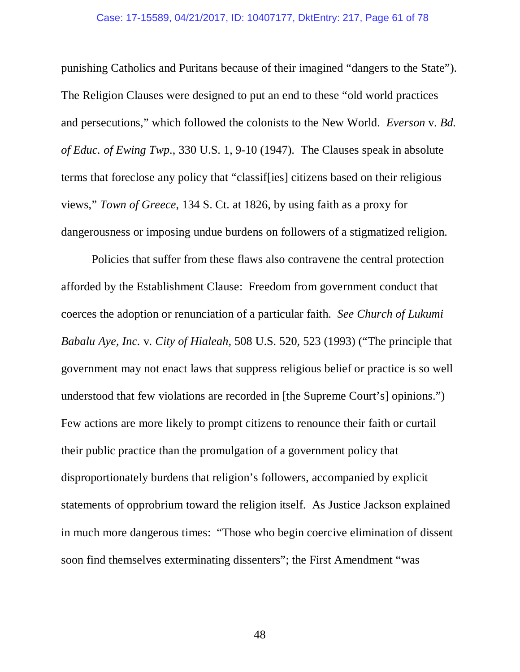#### Case: 17-15589, 04/21/2017, ID: 10407177, DktEntry: 217, Page 61 of 78

punishing Catholics and Puritans because of their imagined "dangers to the State"). The Religion Clauses were designed to put an end to these "old world practices and persecutions," which followed the colonists to the New World. *Everson* v. *Bd. of Educ. of Ewing Twp*., 330 U.S. 1, 9-10 (1947). The Clauses speak in absolute terms that foreclose any policy that "classif[ies] citizens based on their religious views," *Town of Greece*, 134 S. Ct. at 1826, by using faith as a proxy for dangerousness or imposing undue burdens on followers of a stigmatized religion.

Policies that suffer from these flaws also contravene the central protection afforded by the Establishment Clause: Freedom from government conduct that coerces the adoption or renunciation of a particular faith. *See Church of Lukumi Babalu Aye, Inc.* v. *City of Hialeah*, 508 U.S. 520, 523 (1993) ("The principle that government may not enact laws that suppress religious belief or practice is so well understood that few violations are recorded in [the Supreme Court's] opinions.") Few actions are more likely to prompt citizens to renounce their faith or curtail their public practice than the promulgation of a government policy that disproportionately burdens that religion's followers, accompanied by explicit statements of opprobrium toward the religion itself. As Justice Jackson explained in much more dangerous times: "Those who begin coercive elimination of dissent soon find themselves exterminating dissenters"; the First Amendment "was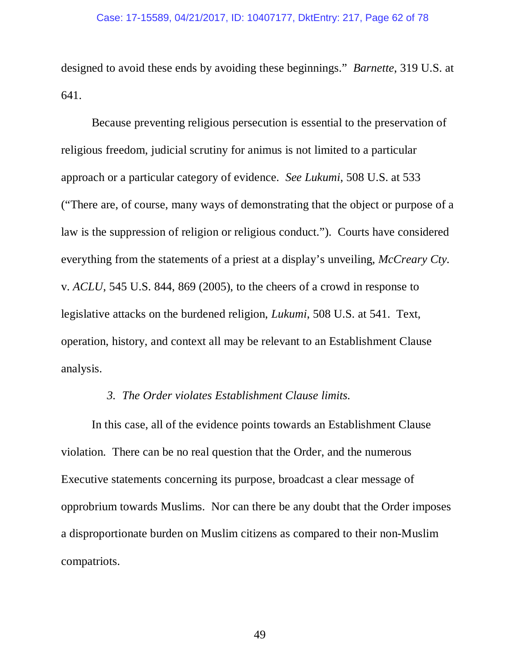designed to avoid these ends by avoiding these beginnings." *Barnette*, 319 U.S. at 641.

Because preventing religious persecution is essential to the preservation of religious freedom, judicial scrutiny for animus is not limited to a particular approach or a particular category of evidence. *See Lukumi*, 508 U.S. at 533 ("There are, of course, many ways of demonstrating that the object or purpose of a law is the suppression of religion or religious conduct."). Courts have considered everything from the statements of a priest at a display's unveiling, *McCreary Cty.*  v. *ACLU*, 545 U.S. 844, 869 (2005), to the cheers of a crowd in response to legislative attacks on the burdened religion, *Lukumi*, 508 U.S. at 541. Text, operation, history, and context all may be relevant to an Establishment Clause analysis.

### *3. The Order violates Establishment Clause limits.*

In this case, all of the evidence points towards an Establishment Clause violation. There can be no real question that the Order, and the numerous Executive statements concerning its purpose, broadcast a clear message of opprobrium towards Muslims. Nor can there be any doubt that the Order imposes a disproportionate burden on Muslim citizens as compared to their non-Muslim compatriots.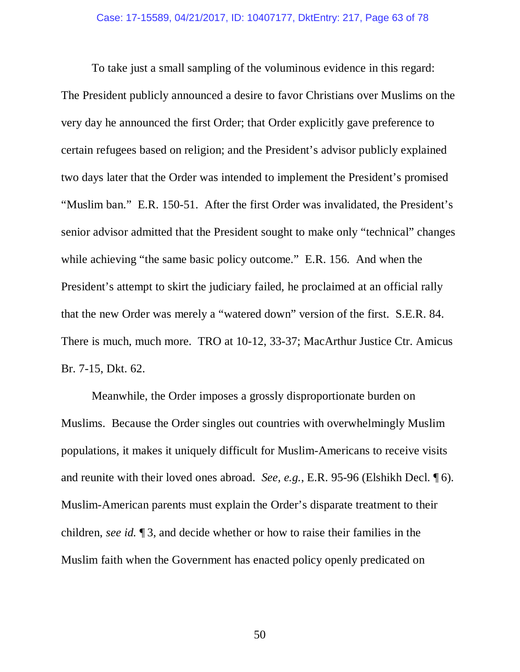To take just a small sampling of the voluminous evidence in this regard: The President publicly announced a desire to favor Christians over Muslims on the very day he announced the first Order; that Order explicitly gave preference to certain refugees based on religion; and the President's advisor publicly explained two days later that the Order was intended to implement the President's promised "Muslim ban." E.R. 150-51. After the first Order was invalidated, the President's senior advisor admitted that the President sought to make only "technical" changes while achieving "the same basic policy outcome." E.R. 156*.* And when the President's attempt to skirt the judiciary failed, he proclaimed at an official rally that the new Order was merely a "watered down" version of the first. S.E.R. 84. There is much, much more. TRO at 10-12, 33-37; MacArthur Justice Ctr. Amicus Br. 7-15, Dkt. 62.

Meanwhile, the Order imposes a grossly disproportionate burden on Muslims. Because the Order singles out countries with overwhelmingly Muslim populations, it makes it uniquely difficult for Muslim-Americans to receive visits and reunite with their loved ones abroad. *See, e.g.*, E.R. 95-96 (Elshikh Decl. ¶ 6). Muslim-American parents must explain the Order's disparate treatment to their children, *see id.* ¶ 3, and decide whether or how to raise their families in the Muslim faith when the Government has enacted policy openly predicated on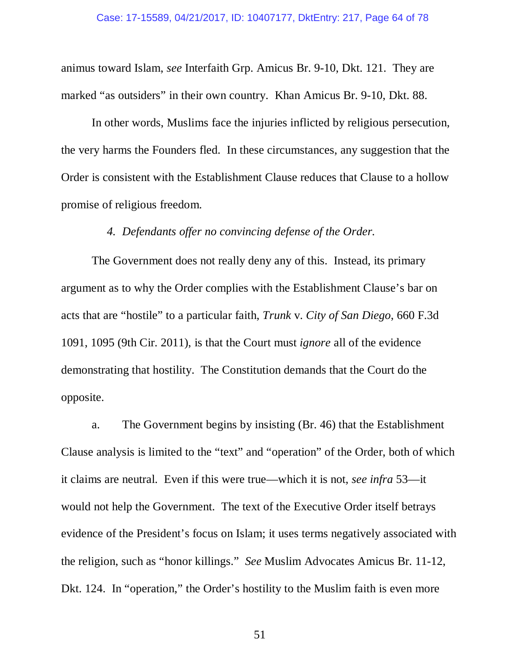animus toward Islam, *see* Interfaith Grp. Amicus Br. 9-10, Dkt. 121. They are marked "as outsiders" in their own country. Khan Amicus Br. 9-10, Dkt. 88.

In other words, Muslims face the injuries inflicted by religious persecution, the very harms the Founders fled. In these circumstances, any suggestion that the Order is consistent with the Establishment Clause reduces that Clause to a hollow promise of religious freedom.

#### *4. Defendants offer no convincing defense of the Order.*

The Government does not really deny any of this. Instead, its primary argument as to why the Order complies with the Establishment Clause's bar on acts that are "hostile" to a particular faith, *Trunk* v. *City of San Diego*, 660 F.3d 1091, 1095 (9th Cir. 2011), is that the Court must *ignore* all of the evidence demonstrating that hostility. The Constitution demands that the Court do the opposite.

a. The Government begins by insisting (Br. 46) that the Establishment Clause analysis is limited to the "text" and "operation" of the Order, both of which it claims are neutral. Even if this were true—which it is not, *see infra* 53—it would not help the Government. The text of the Executive Order itself betrays evidence of the President's focus on Islam; it uses terms negatively associated with the religion, such as "honor killings." *See* Muslim Advocates Amicus Br. 11-12, Dkt. 124. In "operation," the Order's hostility to the Muslim faith is even more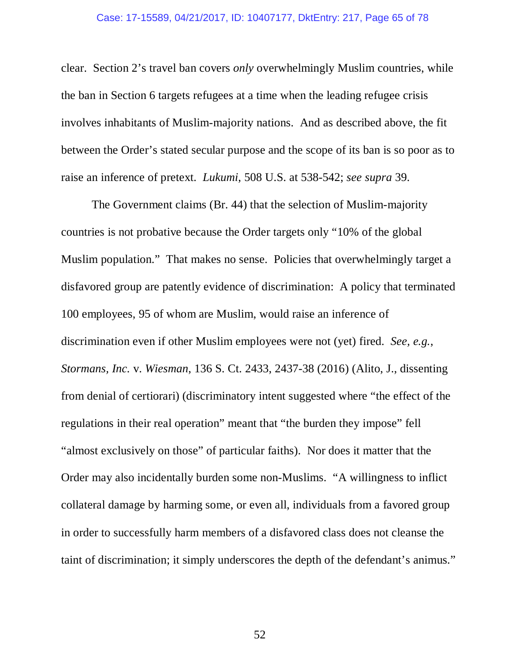clear. Section 2's travel ban covers *only* overwhelmingly Muslim countries, while the ban in Section 6 targets refugees at a time when the leading refugee crisis involves inhabitants of Muslim-majority nations. And as described above, the fit between the Order's stated secular purpose and the scope of its ban is so poor as to raise an inference of pretext. *Lukumi*, 508 U.S. at 538-542; *see supra* 39.

The Government claims (Br. 44) that the selection of Muslim-majority countries is not probative because the Order targets only "10% of the global Muslim population." That makes no sense. Policies that overwhelmingly target a disfavored group are patently evidence of discrimination: A policy that terminated 100 employees, 95 of whom are Muslim, would raise an inference of discrimination even if other Muslim employees were not (yet) fired. *See, e.g.*, *Stormans, Inc.* v. *Wiesman*, 136 S. Ct. 2433, 2437-38 (2016) (Alito, J., dissenting from denial of certiorari) (discriminatory intent suggested where "the effect of the regulations in their real operation" meant that "the burden they impose" fell "almost exclusively on those" of particular faiths). Nor does it matter that the Order may also incidentally burden some non-Muslims. "A willingness to inflict collateral damage by harming some, or even all, individuals from a favored group in order to successfully harm members of a disfavored class does not cleanse the taint of discrimination; it simply underscores the depth of the defendant's animus."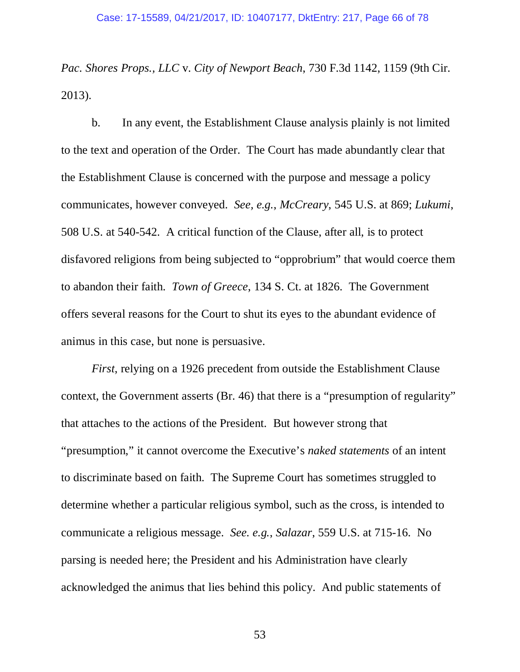*Pac. Shores Props., LLC* v. *City of Newport Beach*, 730 F.3d 1142, 1159 (9th Cir. 2013).

b.In any event, the Establishment Clause analysis plainly is not limited to the text and operation of the Order. The Court has made abundantly clear that the Establishment Clause is concerned with the purpose and message a policy communicates, however conveyed. *See, e.g.*, *McCreary*, 545 U.S. at 869; *Lukumi*, 508 U.S. at 540-542. A critical function of the Clause, after all, is to protect disfavored religions from being subjected to "opprobrium" that would coerce them to abandon their faith. *Town of Greece*, 134 S. Ct. at 1826. The Government offers several reasons for the Court to shut its eyes to the abundant evidence of animus in this case, but none is persuasive.

*First*, relying on a 1926 precedent from outside the Establishment Clause context, the Government asserts (Br. 46) that there is a "presumption of regularity" that attaches to the actions of the President. But however strong that "presumption," it cannot overcome the Executive's *naked statements* of an intent to discriminate based on faith. The Supreme Court has sometimes struggled to determine whether a particular religious symbol, such as the cross, is intended to communicate a religious message. *See. e.g.*, *Salazar*, 559 U.S. at 715-16.No parsing is needed here; the President and his Administration have clearly acknowledged the animus that lies behind this policy. And public statements of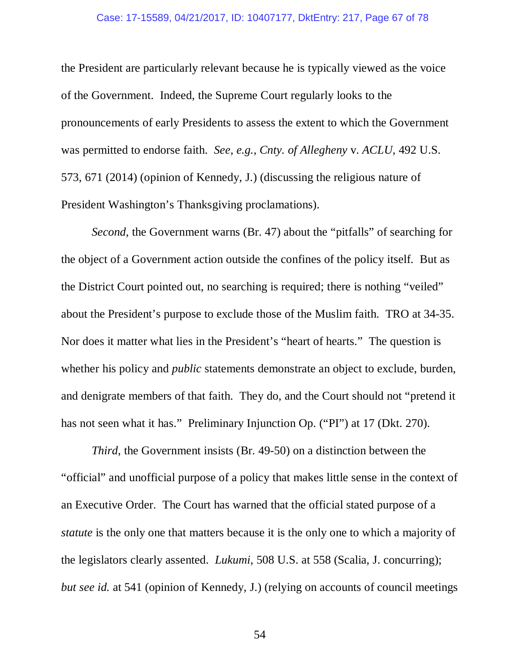#### Case: 17-15589, 04/21/2017, ID: 10407177, DktEntry: 217, Page 67 of 78

the President are particularly relevant because he is typically viewed as the voice of the Government. Indeed, the Supreme Court regularly looks to the pronouncements of early Presidents to assess the extent to which the Government was permitted to endorse faith. *See, e.g.*, *Cnty. of Allegheny* v. *ACLU*, 492 U.S. 573, 671 (2014) (opinion of Kennedy, J.) (discussing the religious nature of President Washington's Thanksgiving proclamations).

*Second*, the Government warns (Br. 47) about the "pitfalls" of searching for the object of a Government action outside the confines of the policy itself. But as the District Court pointed out, no searching is required; there is nothing "veiled" about the President's purpose to exclude those of the Muslim faith. TRO at 34-35. Nor does it matter what lies in the President's "heart of hearts." The question is whether his policy and *public* statements demonstrate an object to exclude, burden, and denigrate members of that faith. They do, and the Court should not "pretend it has not seen what it has." Preliminary Injunction Op. ("PI") at 17 (Dkt. 270).

*Third*, the Government insists (Br. 49-50) on a distinction between the "official" and unofficial purpose of a policy that makes little sense in the context of an Executive Order. The Court has warned that the official stated purpose of a *statute* is the only one that matters because it is the only one to which a majority of the legislators clearly assented. *Lukumi*, 508 U.S. at 558 (Scalia, J. concurring); *but see id.* at 541 (opinion of Kennedy, J.) (relying on accounts of council meetings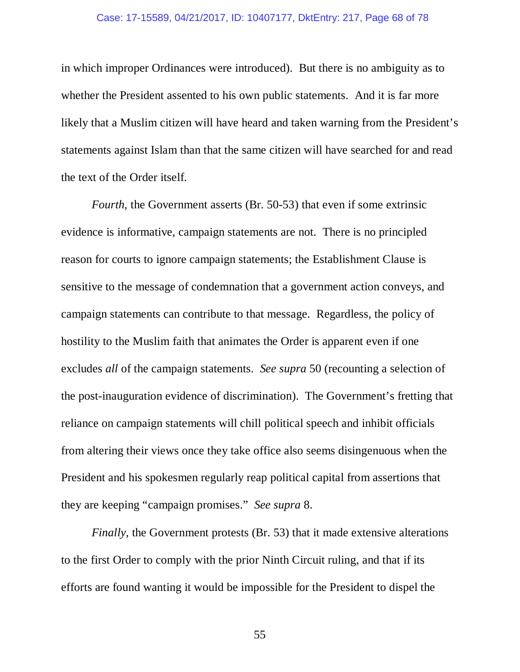#### Case: 17-15589, 04/21/2017, ID: 10407177, DktEntry: 217, Page 68 of 78

in which improper Ordinances were introduced). But there is no ambiguity as to whether the President assented to his own public statements. And it is far more likely that a Muslim citizen will have heard and taken warning from the President's statements against Islam than that the same citizen will have searched for and read the text of the Order itself.

*Fourth*, the Government asserts (Br. 50-53) that even if some extrinsic evidence is informative, campaign statements are not. There is no principled reason for courts to ignore campaign statements; the Establishment Clause is sensitive to the message of condemnation that a government action conveys, and campaign statements can contribute to that message. Regardless, the policy of hostility to the Muslim faith that animates the Order is apparent even if one excludes *all* of the campaign statements. *See supra* 50 (recounting a selection of the post-inauguration evidence of discrimination). The Government's fretting that reliance on campaign statements will chill political speech and inhibit officials from altering their views once they take office also seems disingenuous when the President and his spokesmen regularly reap political capital from assertions that they are keeping "campaign promises." *See supra* 8.

*Finally*, the Government protests (Br. 53) that it made extensive alterations to the first Order to comply with the prior Ninth Circuit ruling, and that if its efforts are found wanting it would be impossible for the President to dispel the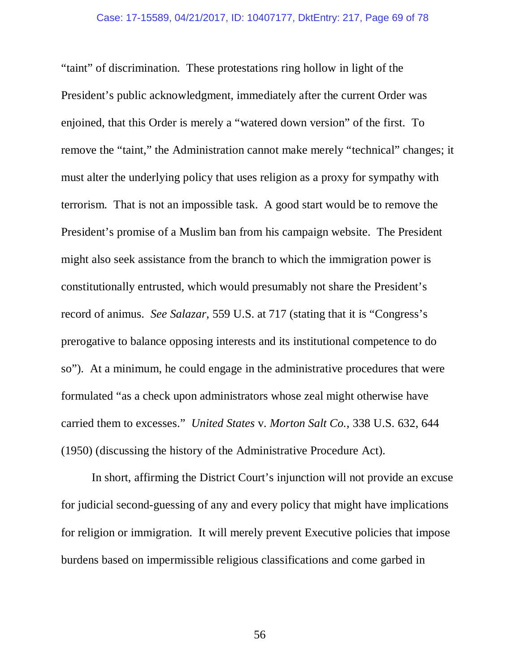"taint" of discrimination. These protestations ring hollow in light of the President's public acknowledgment, immediately after the current Order was enjoined, that this Order is merely a "watered down version" of the first. To remove the "taint," the Administration cannot make merely "technical" changes; it must alter the underlying policy that uses religion as a proxy for sympathy with terrorism. That is not an impossible task. A good start would be to remove the President's promise of a Muslim ban from his campaign website. The President might also seek assistance from the branch to which the immigration power is constitutionally entrusted, which would presumably not share the President's record of animus. *See Salazar*, 559 U.S. at 717 (stating that it is "Congress's prerogative to balance opposing interests and its institutional competence to do so"). At a minimum, he could engage in the administrative procedures that were formulated "as a check upon administrators whose zeal might otherwise have carried them to excesses." *United States* v. *Morton Salt Co.*, 338 U.S. 632, 644 (1950) (discussing the history of the Administrative Procedure Act).

In short, affirming the District Court's injunction will not provide an excuse for judicial second-guessing of any and every policy that might have implications for religion or immigration. It will merely prevent Executive policies that impose burdens based on impermissible religious classifications and come garbed in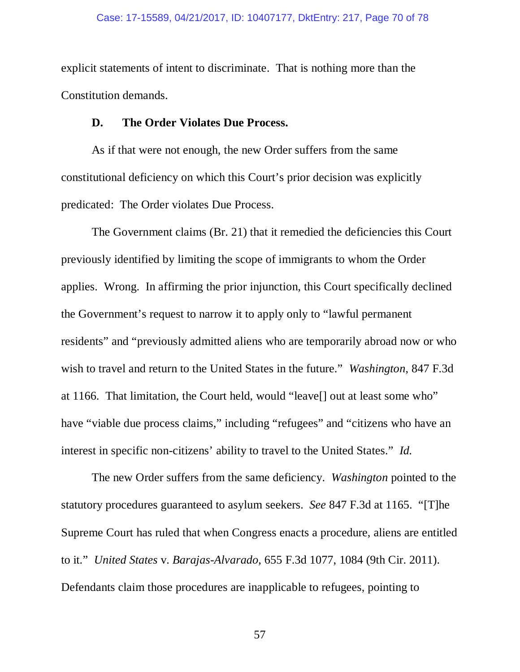#### Case: 17-15589, 04/21/2017, ID: 10407177, DktEntry: 217, Page 70 of 78

explicit statements of intent to discriminate. That is nothing more than the Constitution demands.

### **D. The Order Violates Due Process.**

As if that were not enough, the new Order suffers from the same constitutional deficiency on which this Court's prior decision was explicitly predicated: The Order violates Due Process.

The Government claims (Br. 21) that it remedied the deficiencies this Court previously identified by limiting the scope of immigrants to whom the Order applies. Wrong. In affirming the prior injunction, this Court specifically declined the Government's request to narrow it to apply only to "lawful permanent residents" and "previously admitted aliens who are temporarily abroad now or who wish to travel and return to the United States in the future." *Washington*, 847 F.3d at 1166. That limitation, the Court held, would "leave[] out at least some who" have "viable due process claims," including "refugees" and "citizens who have an interest in specific non-citizens' ability to travel to the United States." *Id.*

The new Order suffers from the same deficiency. *Washington* pointed to the statutory procedures guaranteed to asylum seekers. *See* 847 F.3d at 1165. "[T]he Supreme Court has ruled that when Congress enacts a procedure, aliens are entitled to it." *United States* v. *Barajas-Alvarado*, 655 F.3d 1077, 1084 (9th Cir. 2011). Defendants claim those procedures are inapplicable to refugees, pointing to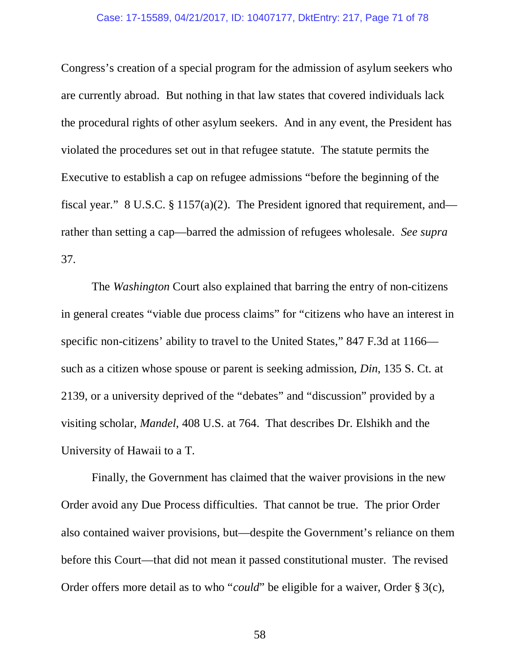#### Case: 17-15589, 04/21/2017, ID: 10407177, DktEntry: 217, Page 71 of 78

Congress's creation of a special program for the admission of asylum seekers who are currently abroad. But nothing in that law states that covered individuals lack the procedural rights of other asylum seekers. And in any event, the President has violated the procedures set out in that refugee statute. The statute permits the Executive to establish a cap on refugee admissions "before the beginning of the fiscal year." 8 U.S.C. § 1157(a)(2). The President ignored that requirement, and rather than setting a cap—barred the admission of refugees wholesale. *See supra* 37.

The *Washington* Court also explained that barring the entry of non-citizens in general creates "viable due process claims" for "citizens who have an interest in specific non-citizens' ability to travel to the United States," 847 F.3d at 1166 such as a citizen whose spouse or parent is seeking admission, *Din*, 135 S. Ct. at 2139, or a university deprived of the "debates" and "discussion" provided by a visiting scholar, *Mandel*, 408 U.S. at 764. That describes Dr. Elshikh and the University of Hawaii to a T.

Finally, the Government has claimed that the waiver provisions in the new Order avoid any Due Process difficulties. That cannot be true. The prior Order also contained waiver provisions, but—despite the Government's reliance on them before this Court—that did not mean it passed constitutional muster. The revised Order offers more detail as to who "*could*" be eligible for a waiver, Order § 3(c),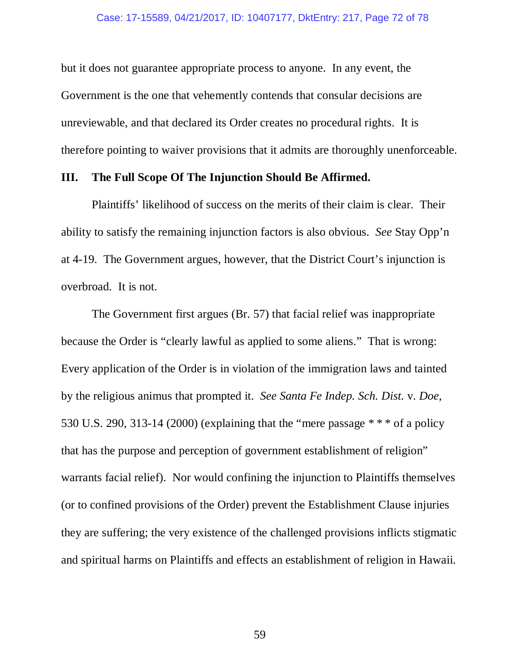but it does not guarantee appropriate process to anyone. In any event, the Government is the one that vehemently contends that consular decisions are unreviewable, and that declared its Order creates no procedural rights. It is therefore pointing to waiver provisions that it admits are thoroughly unenforceable.

### **III. The Full Scope Of The Injunction Should Be Affirmed.**

 Plaintiffs' likelihood of success on the merits of their claim is clear. Their ability to satisfy the remaining injunction factors is also obvious. *See* Stay Opp'n at 4-19. The Government argues, however, that the District Court's injunction is overbroad. It is not.

 The Government first argues (Br. 57) that facial relief was inappropriate because the Order is "clearly lawful as applied to some aliens." That is wrong: Every application of the Order is in violation of the immigration laws and tainted by the religious animus that prompted it. *See Santa Fe Indep. Sch. Dist.* v. *Doe*, 530 U.S. 290, 313-14 (2000) (explaining that the "mere passage  $***$  of a policy that has the purpose and perception of government establishment of religion" warrants facial relief). Nor would confining the injunction to Plaintiffs themselves (or to confined provisions of the Order) prevent the Establishment Clause injuries they are suffering; the very existence of the challenged provisions inflicts stigmatic and spiritual harms on Plaintiffs and effects an establishment of religion in Hawaii.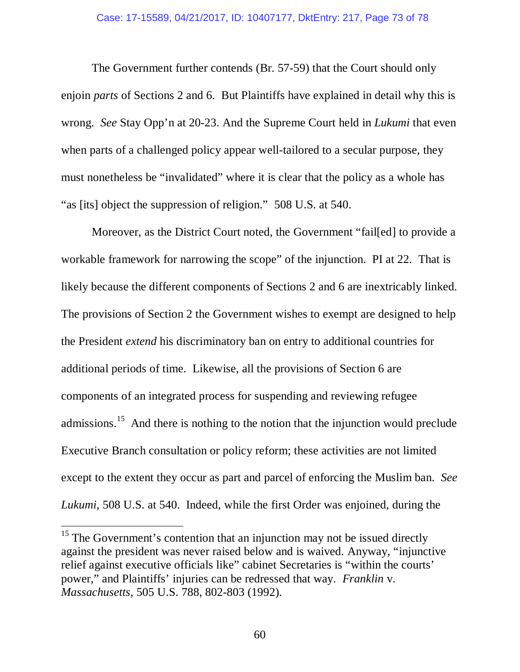The Government further contends (Br. 57-59) that the Court should only enjoin *parts* of Sections 2 and 6. But Plaintiffs have explained in detail why this is wrong. *See* Stay Opp'n at 20-23. And the Supreme Court held in *Lukumi* that even when parts of a challenged policy appear well-tailored to a secular purpose, they must nonetheless be "invalidated" where it is clear that the policy as a whole has "as [its] object the suppression of religion." 508 U.S. at 540.

Moreover, as the District Court noted, the Government "fail[ed] to provide a workable framework for narrowing the scope" of the injunction. PI at 22. That is likely because the different components of Sections 2 and 6 are inextricably linked. The provisions of Section 2 the Government wishes to exempt are designed to help the President *extend* his discriminatory ban on entry to additional countries for additional periods of time. Likewise, all the provisions of Section 6 are components of an integrated process for suspending and reviewing refugee admissions.<sup>15</sup> And there is nothing to the notion that the injunction would preclude Executive Branch consultation or policy reform; these activities are not limited except to the extent they occur as part and parcel of enforcing the Muslim ban. *See Lukumi*, 508 U.S. at 540. Indeed, while the first Order was enjoined, during the

 $\overline{a}$ 

 $15$  The Government's contention that an injunction may not be issued directly against the president was never raised below and is waived. Anyway, "injunctive relief against executive officials like" cabinet Secretaries is "within the courts' power," and Plaintiffs' injuries can be redressed that way. *Franklin* v. *Massachusetts*, 505 U.S. 788, 802-803 (1992).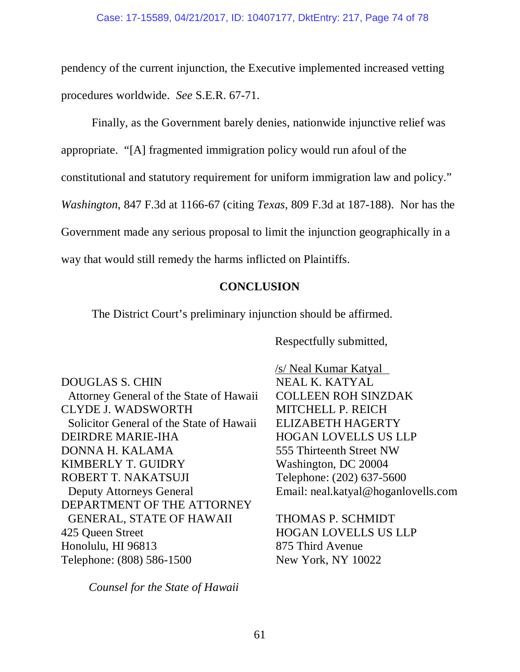pendency of the current injunction, the Executive implemented increased vetting procedures worldwide. *See* S.E.R. 67-71.

Finally, as the Government barely denies, nationwide injunctive relief was

appropriate. "[A] fragmented immigration policy would run afoul of the

constitutional and statutory requirement for uniform immigration law and policy."

*Washington*, 847 F.3d at 1166-67 (citing *Texas*, 809 F.3d at 187-188). Nor has the

Government made any serious proposal to limit the injunction geographically in a

way that would still remedy the harms inflicted on Plaintiffs.

## **CONCLUSION**

The District Court's preliminary injunction should be affirmed.

Respectfully submitted,

DOUGLAS S. CHIN Attorney General of the State of Hawaii CLYDE J. WADSWORTH Solicitor General of the State of Hawaii DEIRDRE MARIE-IHA DONNA H. KALAMA KIMBERLY T. GUIDRY ROBERT T. NAKATSUJI Deputy Attorneys General DEPARTMENT OF THE ATTORNEY GENERAL, STATE OF HAWAII 425 Queen Street Honolulu, HI 96813 Telephone: (808) 586-1500

*Counsel for the State of Hawaii* 

 /s/ Neal Kumar Katyal    NEAL K. KATYAL COLLEEN ROH SINZDAK MITCHELL P. REICH ELIZABETH HAGERTY HOGAN LOVELLS US LLP 555 Thirteenth Street NW Washington, DC 20004 Telephone: (202) 637-5600 Email: neal.katyal@hoganlovells.com

THOMAS P. SCHMIDT HOGAN LOVELLS US LLP 875 Third Avenue New York, NY 10022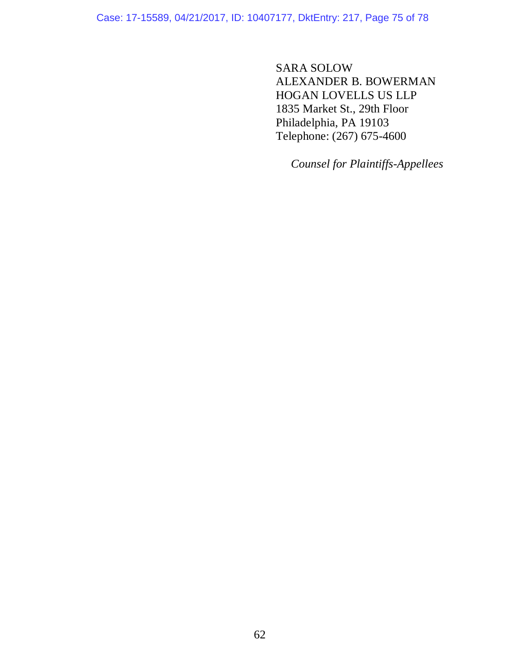Case: 17-15589, 04/21/2017, ID: 10407177, DktEntry: 217, Page 75 of 78

SARA SOLOW ALEXANDER B. BOWERMAN HOGAN LOVELLS US LLP 1835 Market St., 29th Floor Philadelphia, PA 19103 Telephone: (267) 675-4600

*Counsel for Plaintiffs-Appellees*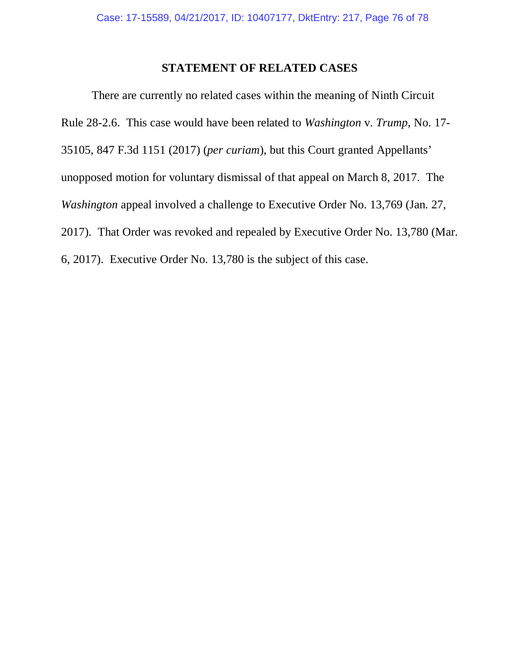## **STATEMENT OF RELATED CASES**

There are currently no related cases within the meaning of Ninth Circuit Rule 28-2.6. This case would have been related to *Washington* v. *Trump*, No. 17- 35105, 847 F.3d 1151 (2017) (*per curiam*), but this Court granted Appellants' unopposed motion for voluntary dismissal of that appeal on March 8, 2017. The *Washington appeal involved a challenge to Executive Order No. 13,769 (Jan. 27, Vashington appeal involved a challenge to Executive Order No. 13,769 (Jan. 27,* 2017). That Order was revoked and repealed by Executive Order No. 13,780 (Mar. 6, 2017). Executive Order No. 13,780 is the subject of this case.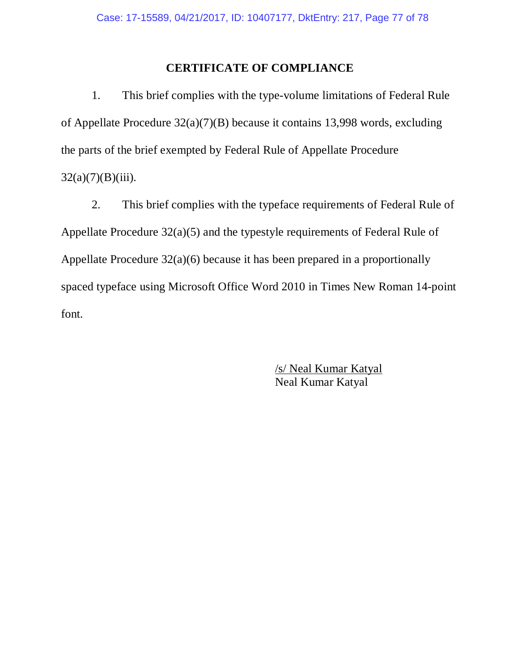## **CERTIFICATE OF COMPLIANCE**

1. This brief complies with the type-volume limitations of Federal Rule of Appellate Procedure 32(a)(7)(B) because it contains 13,998 words, excluding the parts of the brief exempted by Federal Rule of Appellate Procedure  $32(a)(7)(B)(iii)$ .

2. This brief complies with the typeface requirements of Federal Rule of Appellate Procedure 32(a)(5) and the typestyle requirements of Federal Rule of Appellate Procedure 32(a)(6) because it has been prepared in a proportionally spaced typeface using Microsoft Office Word 2010 in Times New Roman 14-point font.

> /s/ Neal Kumar Katyal Neal Kumar Katyal